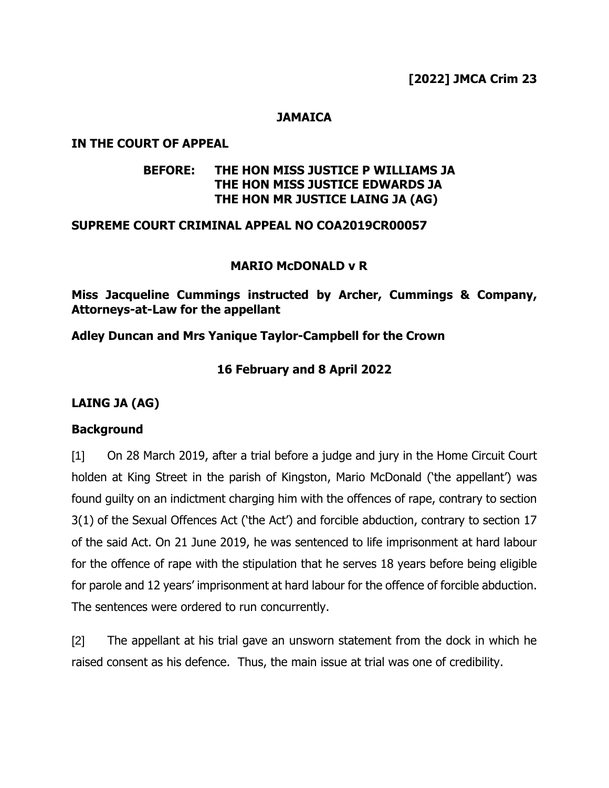## **JAMAICA**

### **IN THE COURT OF APPEAL**

## **BEFORE: THE HON MISS JUSTICE P WILLIAMS JA THE HON MISS JUSTICE EDWARDS JA THE HON MR JUSTICE LAING JA (AG)**

### **SUPREME COURT CRIMINAL APPEAL NO COA2019CR00057**

## **MARIO McDONALD v R**

**Miss Jacqueline Cummings instructed by Archer, Cummings & Company, Attorneys-at-Law for the appellant**

# **Adley Duncan and Mrs Yanique Taylor-Campbell for the Crown**

# **16 February and 8 April 2022**

# **LAING JA (AG)**

# **Background**

[1] On 28 March 2019, after a trial before a judge and jury in the Home Circuit Court holden at King Street in the parish of Kingston, Mario McDonald ('the appellant') was found guilty on an indictment charging him with the offences of rape, contrary to section 3(1) of the Sexual Offences Act ('the Act') and forcible abduction, contrary to section 17 of the said Act. On 21 June 2019, he was sentenced to life imprisonment at hard labour for the offence of rape with the stipulation that he serves 18 years before being eligible for parole and 12 years' imprisonment at hard labour for the offence of forcible abduction. The sentences were ordered to run concurrently.

[2] The appellant at his trial gave an unsworn statement from the dock in which he raised consent as his defence. Thus, the main issue at trial was one of credibility.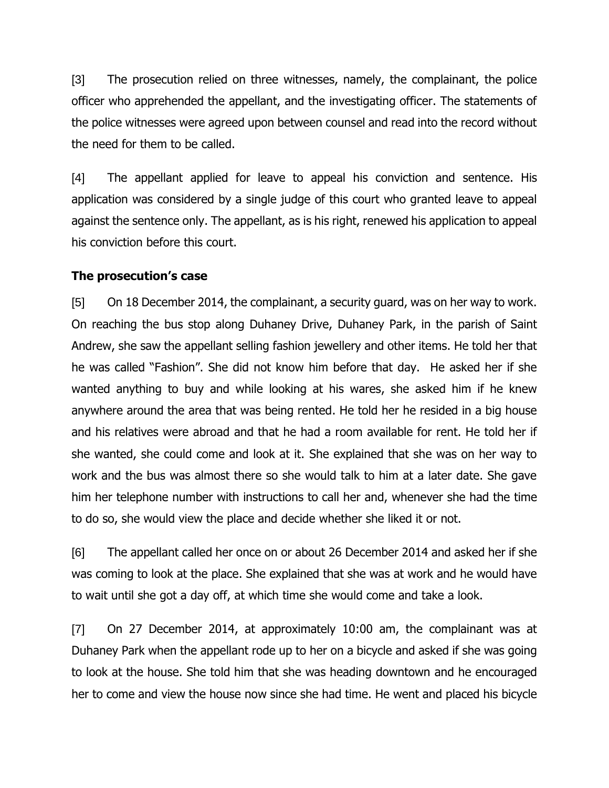[3] The prosecution relied on three witnesses, namely, the complainant, the police officer who apprehended the appellant, and the investigating officer. The statements of the police witnesses were agreed upon between counsel and read into the record without the need for them to be called.

[4] The appellant applied for leave to appeal his conviction and sentence. His application was considered by a single judge of this court who granted leave to appeal against the sentence only. The appellant, as is his right, renewed his application to appeal his conviction before this court.

## **The prosecution's case**

[5] On 18 December 2014, the complainant, a security guard, was on her way to work. On reaching the bus stop along Duhaney Drive, Duhaney Park, in the parish of Saint Andrew, she saw the appellant selling fashion jewellery and other items. He told her that he was called "Fashion". She did not know him before that day. He asked her if she wanted anything to buy and while looking at his wares, she asked him if he knew anywhere around the area that was being rented. He told her he resided in a big house and his relatives were abroad and that he had a room available for rent. He told her if she wanted, she could come and look at it. She explained that she was on her way to work and the bus was almost there so she would talk to him at a later date. She gave him her telephone number with instructions to call her and, whenever she had the time to do so, she would view the place and decide whether she liked it or not.

[6] The appellant called her once on or about 26 December 2014 and asked her if she was coming to look at the place. She explained that she was at work and he would have to wait until she got a day off, at which time she would come and take a look.

[7] On 27 December 2014, at approximately 10:00 am, the complainant was at Duhaney Park when the appellant rode up to her on a bicycle and asked if she was going to look at the house. She told him that she was heading downtown and he encouraged her to come and view the house now since she had time. He went and placed his bicycle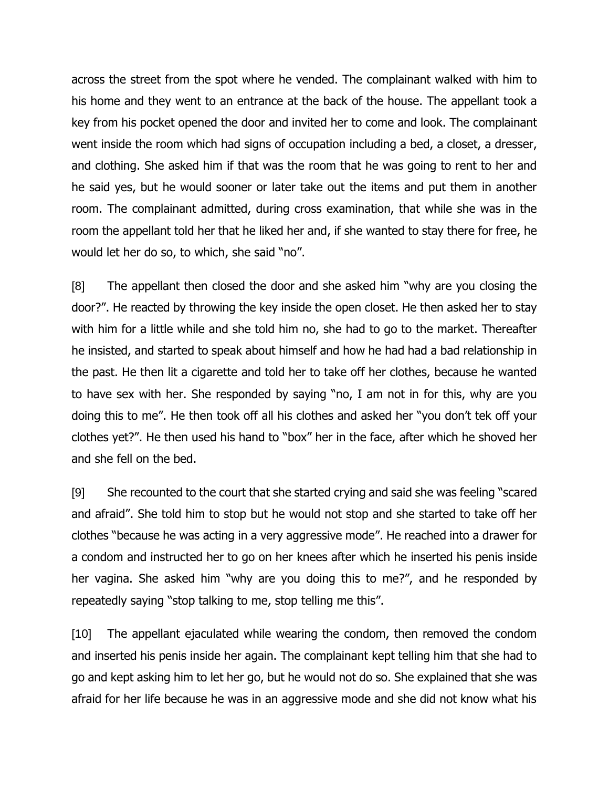across the street from the spot where he vended. The complainant walked with him to his home and they went to an entrance at the back of the house. The appellant took a key from his pocket opened the door and invited her to come and look. The complainant went inside the room which had signs of occupation including a bed, a closet, a dresser, and clothing. She asked him if that was the room that he was going to rent to her and he said yes, but he would sooner or later take out the items and put them in another room. The complainant admitted, during cross examination, that while she was in the room the appellant told her that he liked her and, if she wanted to stay there for free, he would let her do so, to which, she said "no".

[8] The appellant then closed the door and she asked him "why are you closing the door?". He reacted by throwing the key inside the open closet. He then asked her to stay with him for a little while and she told him no, she had to go to the market. Thereafter he insisted, and started to speak about himself and how he had had a bad relationship in the past. He then lit a cigarette and told her to take off her clothes, because he wanted to have sex with her. She responded by saying "no, I am not in for this, why are you doing this to me". He then took off all his clothes and asked her "you don't tek off your clothes yet?". He then used his hand to "box" her in the face, after which he shoved her and she fell on the bed.

[9] She recounted to the court that she started crying and said she was feeling "scared and afraid". She told him to stop but he would not stop and she started to take off her clothes "because he was acting in a very aggressive mode". He reached into a drawer for a condom and instructed her to go on her knees after which he inserted his penis inside her vagina. She asked him "why are you doing this to me?", and he responded by repeatedly saying "stop talking to me, stop telling me this".

[10] The appellant ejaculated while wearing the condom, then removed the condom and inserted his penis inside her again. The complainant kept telling him that she had to go and kept asking him to let her go, but he would not do so. She explained that she was afraid for her life because he was in an aggressive mode and she did not know what his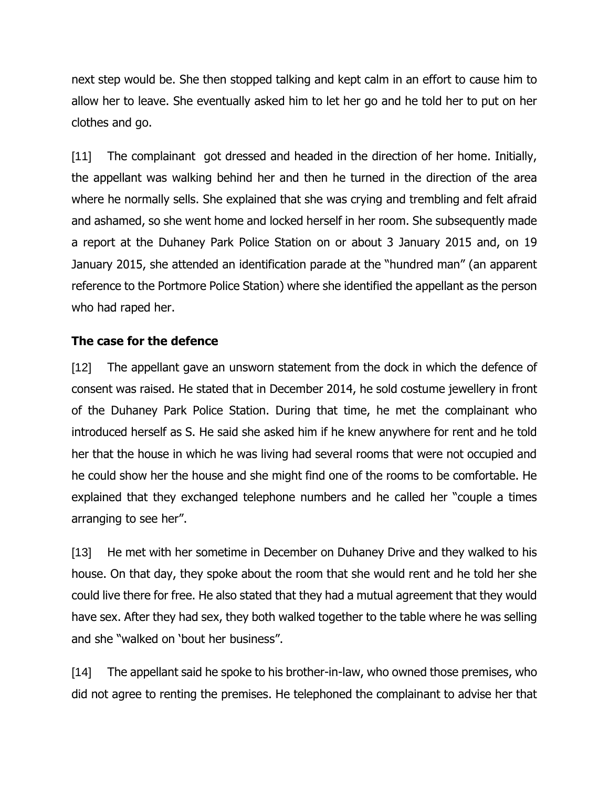next step would be. She then stopped talking and kept calm in an effort to cause him to allow her to leave. She eventually asked him to let her go and he told her to put on her clothes and go.

[11] The complainant got dressed and headed in the direction of her home. Initially, the appellant was walking behind her and then he turned in the direction of the area where he normally sells. She explained that she was crying and trembling and felt afraid and ashamed, so she went home and locked herself in her room. She subsequently made a report at the Duhaney Park Police Station on or about 3 January 2015 and, on 19 January 2015, she attended an identification parade at the "hundred man" (an apparent reference to the Portmore Police Station) where she identified the appellant as the person who had raped her.

# **The case for the defence**

[12] The appellant gave an unsworn statement from the dock in which the defence of consent was raised. He stated that in December 2014, he sold costume jewellery in front of the Duhaney Park Police Station. During that time, he met the complainant who introduced herself as S. He said she asked him if he knew anywhere for rent and he told her that the house in which he was living had several rooms that were not occupied and he could show her the house and she might find one of the rooms to be comfortable. He explained that they exchanged telephone numbers and he called her "couple a times arranging to see her".

[13] He met with her sometime in December on Duhaney Drive and they walked to his house. On that day, they spoke about the room that she would rent and he told her she could live there for free. He also stated that they had a mutual agreement that they would have sex. After they had sex, they both walked together to the table where he was selling and she "walked on 'bout her business".

[14] The appellant said he spoke to his brother-in-law, who owned those premises, who did not agree to renting the premises. He telephoned the complainant to advise her that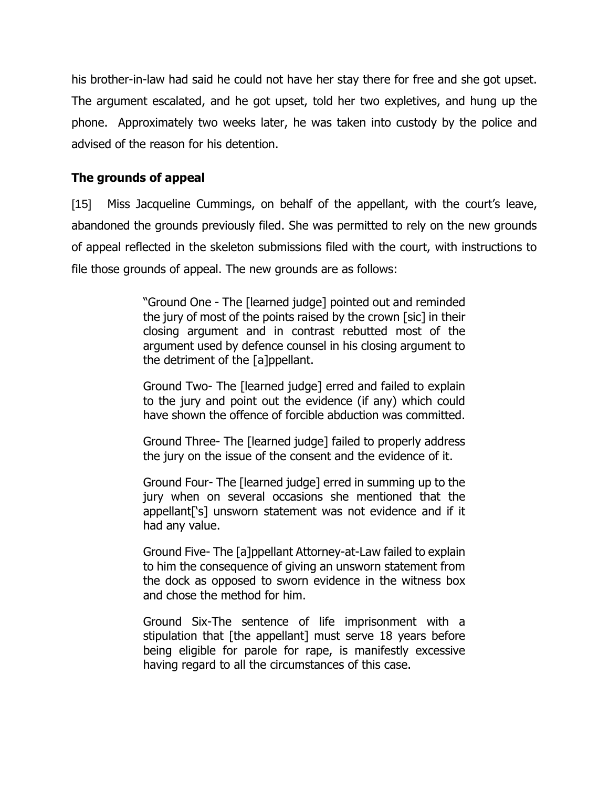his brother-in-law had said he could not have her stay there for free and she got upset. The argument escalated, and he got upset, told her two expletives, and hung up the phone. Approximately two weeks later, he was taken into custody by the police and advised of the reason for his detention.

# **The grounds of appeal**

[15] Miss Jacqueline Cummings, on behalf of the appellant, with the court's leave, abandoned the grounds previously filed. She was permitted to rely on the new grounds of appeal reflected in the skeleton submissions filed with the court, with instructions to file those grounds of appeal. The new grounds are as follows:

> "Ground One - The [learned judge] pointed out and reminded the jury of most of the points raised by the crown [sic] in their closing argument and in contrast rebutted most of the argument used by defence counsel in his closing argument to the detriment of the [a]ppellant.

> Ground Two- The [learned judge] erred and failed to explain to the jury and point out the evidence (if any) which could have shown the offence of forcible abduction was committed.

> Ground Three- The [learned judge] failed to properly address the jury on the issue of the consent and the evidence of it.

> Ground Four- The [learned judge] erred in summing up to the jury when on several occasions she mentioned that the appellant['s] unsworn statement was not evidence and if it had any value.

> Ground Five- The [a]ppellant Attorney-at-Law failed to explain to him the consequence of giving an unsworn statement from the dock as opposed to sworn evidence in the witness box and chose the method for him.

> Ground Six-The sentence of life imprisonment with a stipulation that [the appellant] must serve 18 years before being eligible for parole for rape, is manifestly excessive having regard to all the circumstances of this case.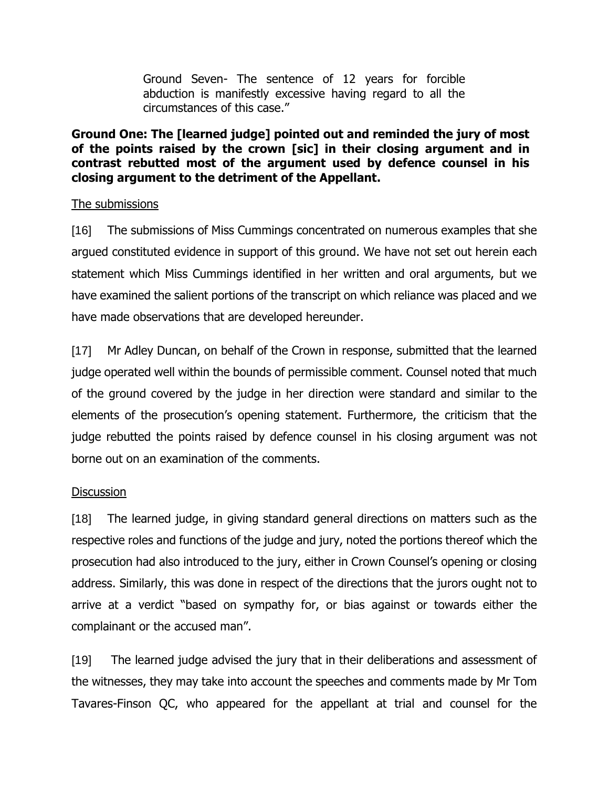Ground Seven- The sentence of 12 years for forcible abduction is manifestly excessive having regard to all the circumstances of this case."

## **Ground One: The [learned judge] pointed out and reminded the jury of most of the points raised by the crown [sic] in their closing argument and in contrast rebutted most of the argument used by defence counsel in his closing argument to the detriment of the Appellant.**

## The submissions

[16] The submissions of Miss Cummings concentrated on numerous examples that she argued constituted evidence in support of this ground. We have not set out herein each statement which Miss Cummings identified in her written and oral arguments, but we have examined the salient portions of the transcript on which reliance was placed and we have made observations that are developed hereunder.

[17] Mr Adley Duncan, on behalf of the Crown in response, submitted that the learned judge operated well within the bounds of permissible comment. Counsel noted that much of the ground covered by the judge in her direction were standard and similar to the elements of the prosecution's opening statement. Furthermore, the criticism that the judge rebutted the points raised by defence counsel in his closing argument was not borne out on an examination of the comments.

### **Discussion**

[18] The learned judge, in giving standard general directions on matters such as the respective roles and functions of the judge and jury, noted the portions thereof which the prosecution had also introduced to the jury, either in Crown Counsel's opening or closing address. Similarly, this was done in respect of the directions that the jurors ought not to arrive at a verdict "based on sympathy for, or bias against or towards either the complainant or the accused man".

[19] The learned judge advised the jury that in their deliberations and assessment of the witnesses, they may take into account the speeches and comments made by Mr Tom Tavares-Finson QC, who appeared for the appellant at trial and counsel for the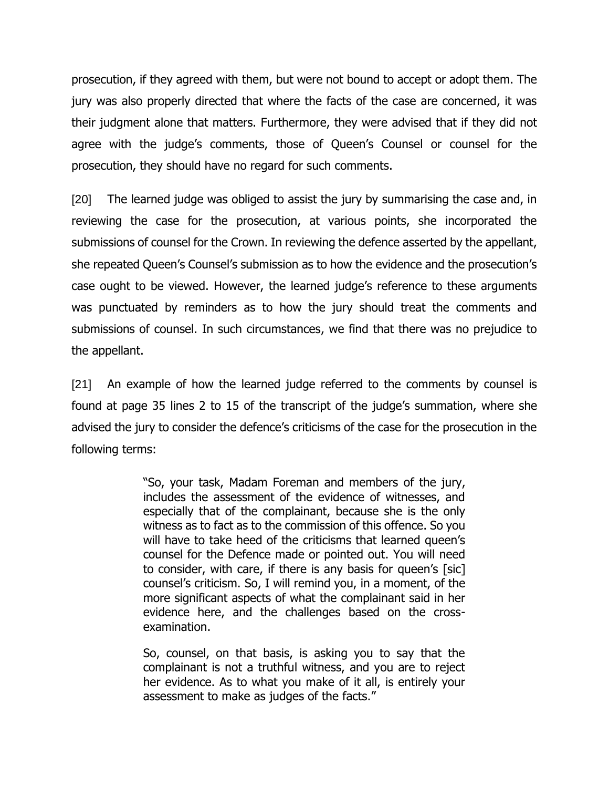prosecution, if they agreed with them, but were not bound to accept or adopt them. The jury was also properly directed that where the facts of the case are concerned, it was their judgment alone that matters. Furthermore, they were advised that if they did not agree with the judge's comments, those of Queen's Counsel or counsel for the prosecution, they should have no regard for such comments.

[20] The learned judge was obliged to assist the jury by summarising the case and, in reviewing the case for the prosecution, at various points, she incorporated the submissions of counsel for the Crown. In reviewing the defence asserted by the appellant, she repeated Queen's Counsel's submission as to how the evidence and the prosecution's case ought to be viewed. However, the learned judge's reference to these arguments was punctuated by reminders as to how the jury should treat the comments and submissions of counsel. In such circumstances, we find that there was no prejudice to the appellant.

[21] An example of how the learned judge referred to the comments by counsel is found at page 35 lines 2 to 15 of the transcript of the judge's summation, where she advised the jury to consider the defence's criticisms of the case for the prosecution in the following terms:

> "So, your task, Madam Foreman and members of the jury, includes the assessment of the evidence of witnesses, and especially that of the complainant, because she is the only witness as to fact as to the commission of this offence. So you will have to take heed of the criticisms that learned queen's counsel for the Defence made or pointed out. You will need to consider, with care, if there is any basis for queen's [sic] counsel's criticism. So, I will remind you, in a moment, of the more significant aspects of what the complainant said in her evidence here, and the challenges based on the crossexamination.

> So, counsel, on that basis, is asking you to say that the complainant is not a truthful witness, and you are to reject her evidence. As to what you make of it all, is entirely your assessment to make as judges of the facts."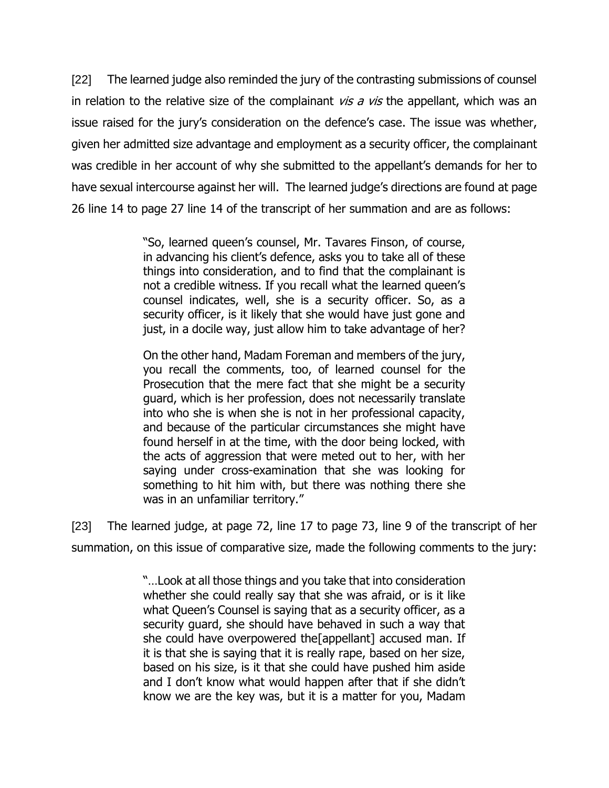[22] The learned judge also reminded the jury of the contrasting submissions of counsel in relation to the relative size of the complainant  $vis a vis$  the appellant, which was an issue raised for the jury's consideration on the defence's case. The issue was whether, given her admitted size advantage and employment as a security officer, the complainant was credible in her account of why she submitted to the appellant's demands for her to have sexual intercourse against her will. The learned judge's directions are found at page 26 line 14 to page 27 line 14 of the transcript of her summation and are as follows:

> "So, learned queen's counsel, Mr. Tavares Finson, of course, in advancing his client's defence, asks you to take all of these things into consideration, and to find that the complainant is not a credible witness. If you recall what the learned queen's counsel indicates, well, she is a security officer. So, as a security officer, is it likely that she would have just gone and just, in a docile way, just allow him to take advantage of her?

> On the other hand, Madam Foreman and members of the jury, you recall the comments, too, of learned counsel for the Prosecution that the mere fact that she might be a security guard, which is her profession, does not necessarily translate into who she is when she is not in her professional capacity, and because of the particular circumstances she might have found herself in at the time, with the door being locked, with the acts of aggression that were meted out to her, with her saying under cross-examination that she was looking for something to hit him with, but there was nothing there she was in an unfamiliar territory."

[23] The learned judge, at page 72, line 17 to page 73, line 9 of the transcript of her summation, on this issue of comparative size, made the following comments to the jury:

> "…Look at all those things and you take that into consideration whether she could really say that she was afraid, or is it like what Queen's Counsel is saying that as a security officer, as a security guard, she should have behaved in such a way that she could have overpowered the[appellant] accused man. If it is that she is saying that it is really rape, based on her size, based on his size, is it that she could have pushed him aside and I don't know what would happen after that if she didn't know we are the key was, but it is a matter for you, Madam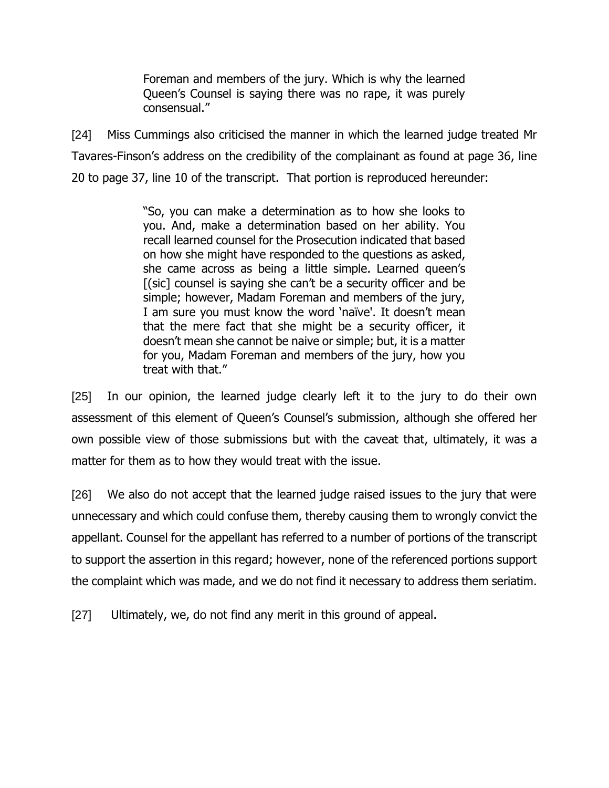Foreman and members of the jury. Which is why the learned Queen's Counsel is saying there was no rape, it was purely consensual."

[24] Miss Cummings also criticised the manner in which the learned judge treated Mr Tavares-Finson's address on the credibility of the complainant as found at page 36, line 20 to page 37, line 10 of the transcript. That portion is reproduced hereunder:

> "So, you can make a determination as to how she looks to you. And, make a determination based on her ability. You recall learned counsel for the Prosecution indicated that based on how she might have responded to the questions as asked, she came across as being a little simple. Learned queen's [(sic] counsel is saying she can't be a security officer and be simple; however, Madam Foreman and members of the jury, I am sure you must know the word 'naïve'. It doesn't mean that the mere fact that she might be a security officer, it doesn't mean she cannot be naive or simple; but, it is a matter for you, Madam Foreman and members of the jury, how you treat with that."

[25] In our opinion, the learned judge clearly left it to the jury to do their own assessment of this element of Queen's Counsel's submission, although she offered her own possible view of those submissions but with the caveat that, ultimately, it was a matter for them as to how they would treat with the issue.

[26] We also do not accept that the learned judge raised issues to the jury that were unnecessary and which could confuse them, thereby causing them to wrongly convict the appellant. Counsel for the appellant has referred to a number of portions of the transcript to support the assertion in this regard; however, none of the referenced portions support the complaint which was made, and we do not find it necessary to address them seriatim.

[27] Ultimately, we, do not find any merit in this ground of appeal.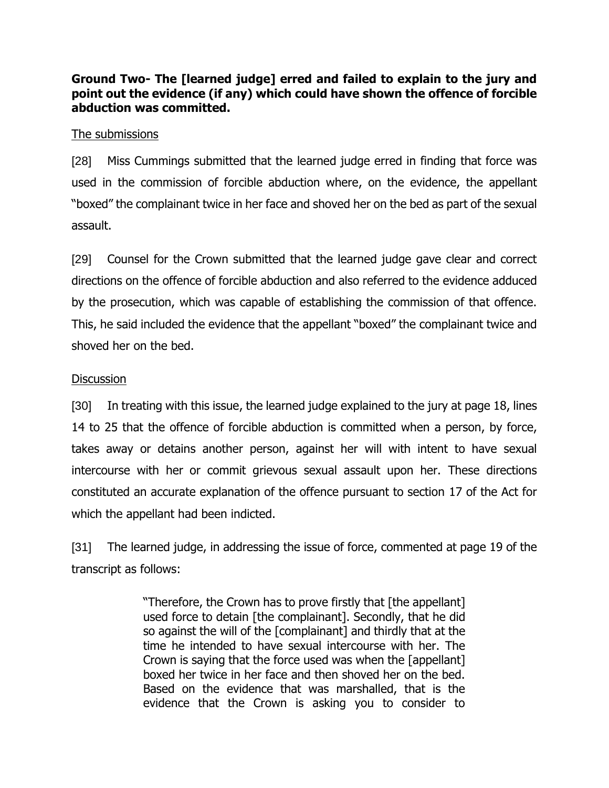**Ground Two- The [learned judge] erred and failed to explain to the jury and point out the evidence (if any) which could have shown the offence of forcible abduction was committed.**

### The submissions

[28] Miss Cummings submitted that the learned judge erred in finding that force was used in the commission of forcible abduction where, on the evidence, the appellant "boxed" the complainant twice in her face and shoved her on the bed as part of the sexual assault.

[29] Counsel for the Crown submitted that the learned judge gave clear and correct directions on the offence of forcible abduction and also referred to the evidence adduced by the prosecution, which was capable of establishing the commission of that offence. This, he said included the evidence that the appellant "boxed" the complainant twice and shoved her on the bed.

## **Discussion**

[30] In treating with this issue, the learned judge explained to the jury at page 18, lines 14 to 25 that the offence of forcible abduction is committed when a person, by force, takes away or detains another person, against her will with intent to have sexual intercourse with her or commit grievous sexual assault upon her. These directions constituted an accurate explanation of the offence pursuant to section 17 of the Act for which the appellant had been indicted.

[31] The learned judge, in addressing the issue of force, commented at page 19 of the transcript as follows:

> "Therefore, the Crown has to prove firstly that [the appellant] used force to detain [the complainant]. Secondly, that he did so against the will of the [complainant] and thirdly that at the time he intended to have sexual intercourse with her. The Crown is saying that the force used was when the [appellant] boxed her twice in her face and then shoved her on the bed. Based on the evidence that was marshalled, that is the evidence that the Crown is asking you to consider to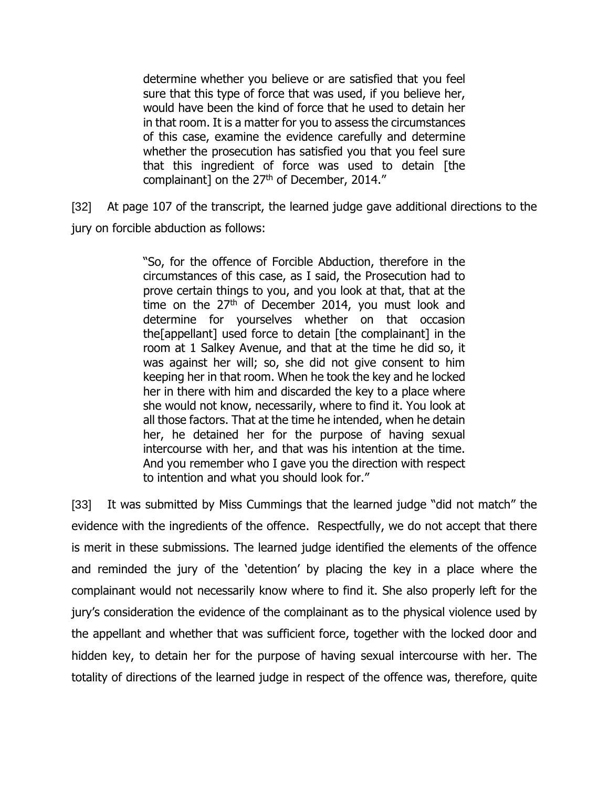determine whether you believe or are satisfied that you feel sure that this type of force that was used, if you believe her, would have been the kind of force that he used to detain her in that room. It is a matter for you to assess the circumstances of this case, examine the evidence carefully and determine whether the prosecution has satisfied you that you feel sure that this ingredient of force was used to detain [the complainant] on the 27<sup>th</sup> of December, 2014."

[32] At page 107 of the transcript, the learned judge gave additional directions to the jury on forcible abduction as follows:

> "So, for the offence of Forcible Abduction, therefore in the circumstances of this case, as I said, the Prosecution had to prove certain things to you, and you look at that, that at the time on the  $27<sup>th</sup>$  of December 2014, you must look and determine for yourselves whether on that occasion the[appellant] used force to detain [the complainant] in the room at 1 Salkey Avenue, and that at the time he did so, it was against her will; so, she did not give consent to him keeping her in that room. When he took the key and he locked her in there with him and discarded the key to a place where she would not know, necessarily, where to find it. You look at all those factors. That at the time he intended, when he detain her, he detained her for the purpose of having sexual intercourse with her, and that was his intention at the time. And you remember who I gave you the direction with respect to intention and what you should look for."

[33] It was submitted by Miss Cummings that the learned judge "did not match" the evidence with the ingredients of the offence. Respectfully, we do not accept that there is merit in these submissions. The learned judge identified the elements of the offence and reminded the jury of the 'detention' by placing the key in a place where the complainant would not necessarily know where to find it. She also properly left for the jury's consideration the evidence of the complainant as to the physical violence used by the appellant and whether that was sufficient force, together with the locked door and hidden key, to detain her for the purpose of having sexual intercourse with her. The totality of directions of the learned judge in respect of the offence was, therefore, quite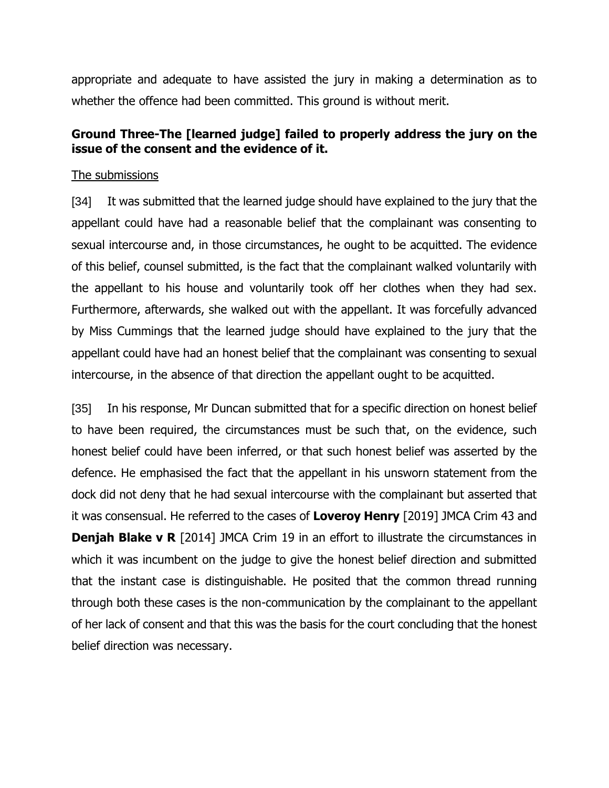appropriate and adequate to have assisted the jury in making a determination as to whether the offence had been committed. This ground is without merit.

# **Ground Three-The [learned judge] failed to properly address the jury on the issue of the consent and the evidence of it.**

## The submissions

[34] It was submitted that the learned judge should have explained to the jury that the appellant could have had a reasonable belief that the complainant was consenting to sexual intercourse and, in those circumstances, he ought to be acquitted. The evidence of this belief, counsel submitted, is the fact that the complainant walked voluntarily with the appellant to his house and voluntarily took off her clothes when they had sex. Furthermore, afterwards, she walked out with the appellant. It was forcefully advanced by Miss Cummings that the learned judge should have explained to the jury that the appellant could have had an honest belief that the complainant was consenting to sexual intercourse, in the absence of that direction the appellant ought to be acquitted.

[35] In his response, Mr Duncan submitted that for a specific direction on honest belief to have been required, the circumstances must be such that, on the evidence, such honest belief could have been inferred, or that such honest belief was asserted by the defence. He emphasised the fact that the appellant in his unsworn statement from the dock did not deny that he had sexual intercourse with the complainant but asserted that it was consensual. He referred to the cases of **Loveroy Henry** [2019] JMCA Crim 43 and **Denjah Blake v R** [2014] JMCA Crim 19 in an effort to illustrate the circumstances in which it was incumbent on the judge to give the honest belief direction and submitted that the instant case is distinguishable. He posited that the common thread running through both these cases is the non-communication by the complainant to the appellant of her lack of consent and that this was the basis for the court concluding that the honest belief direction was necessary.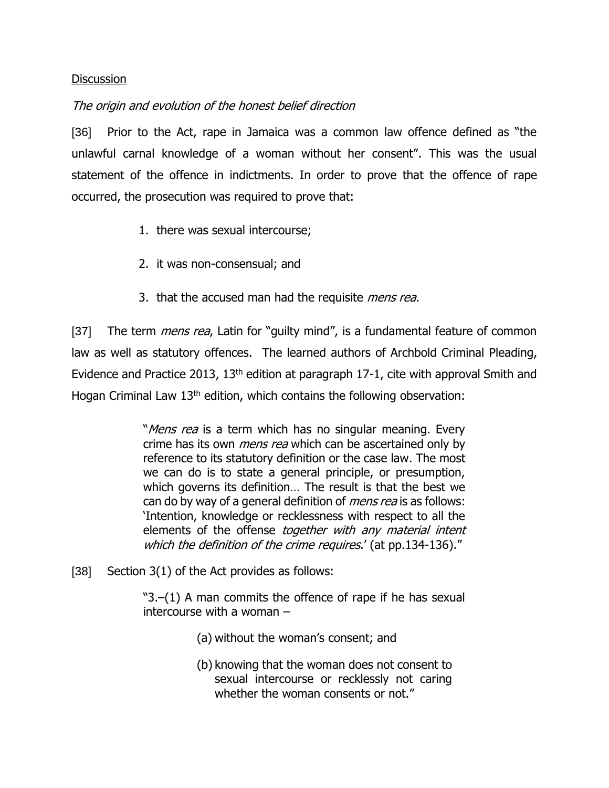#### **Discussion**

### The origin and evolution of the honest belief direction

[36] Prior to the Act, rape in Jamaica was a common law offence defined as "the unlawful carnal knowledge of a woman without her consent". This was the usual statement of the offence in indictments. In order to prove that the offence of rape occurred, the prosecution was required to prove that:

- 1. there was sexual intercourse;
- 2. it was non-consensual; and
- 3. that the accused man had the requisite *mens rea.*

[37] The term *mens rea*, Latin for "guilty mind", is a fundamental feature of common law as well as statutory offences. The learned authors of Archbold Criminal Pleading, Evidence and Practice 2013, 13<sup>th</sup> edition at paragraph 17-1, cite with approval Smith and Hogan Criminal Law  $13<sup>th</sup>$  edition, which contains the following observation:

> "Mens rea is a term which has no singular meaning. Every crime has its own *mens rea* which can be ascertained only by reference to its statutory definition or the case law. The most we can do is to state a general principle, or presumption, which governs its definition… The result is that the best we can do by way of a general definition of *mens rea* is as follows: 'Intention, knowledge or recklessness with respect to all the elements of the offense together with any material intent which the definition of the crime requires.' (at pp.134-136)."

[38] Section 3(1) of the Act provides as follows:

"3.–(1) A man commits the offence of rape if he has sexual intercourse with a woman –

- (a) without the woman's consent; and
- (b) knowing that the woman does not consent to sexual intercourse or recklessly not caring whether the woman consents or not."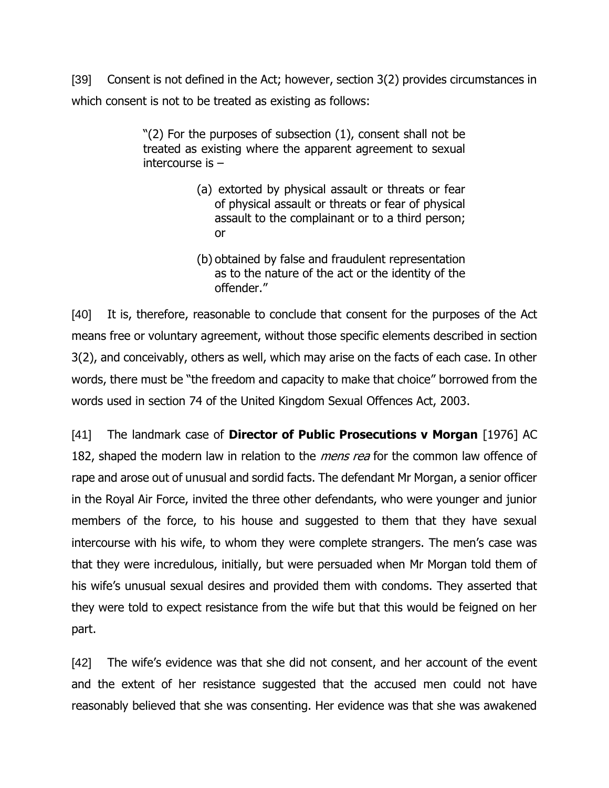[39] Consent is not defined in the Act; however, section 3(2) provides circumstances in which consent is not to be treated as existing as follows:

> "(2) For the purposes of subsection (1), consent shall not be treated as existing where the apparent agreement to sexual intercourse is –

- (a) extorted by physical assault or threats or fear of physical assault or threats or fear of physical assault to the complainant or to a third person; or
- (b) obtained by false and fraudulent representation as to the nature of the act or the identity of the offender."

[40] It is, therefore, reasonable to conclude that consent for the purposes of the Act means free or voluntary agreement, without those specific elements described in section 3(2), and conceivably, others as well, which may arise on the facts of each case. In other words, there must be "the freedom and capacity to make that choice" borrowed from the words used in section 74 of the United Kingdom Sexual Offences Act, 2003.

[41] The landmark case of **Director of Public Prosecutions v Morgan** [1976] AC 182, shaped the modern law in relation to the *mens rea* for the common law offence of rape and arose out of unusual and sordid facts. The defendant Mr Morgan, a senior officer in the Royal Air Force, invited the three other defendants, who were younger and junior members of the force, to his house and suggested to them that they have sexual intercourse with his wife, to whom they were complete strangers. The men's case was that they were incredulous, initially, but were persuaded when Mr Morgan told them of his wife's unusual sexual desires and provided them with condoms. They asserted that they were told to expect resistance from the wife but that this would be feigned on her part.

[42] The wife's evidence was that she did not consent, and her account of the event and the extent of her resistance suggested that the accused men could not have reasonably believed that she was consenting. Her evidence was that she was awakened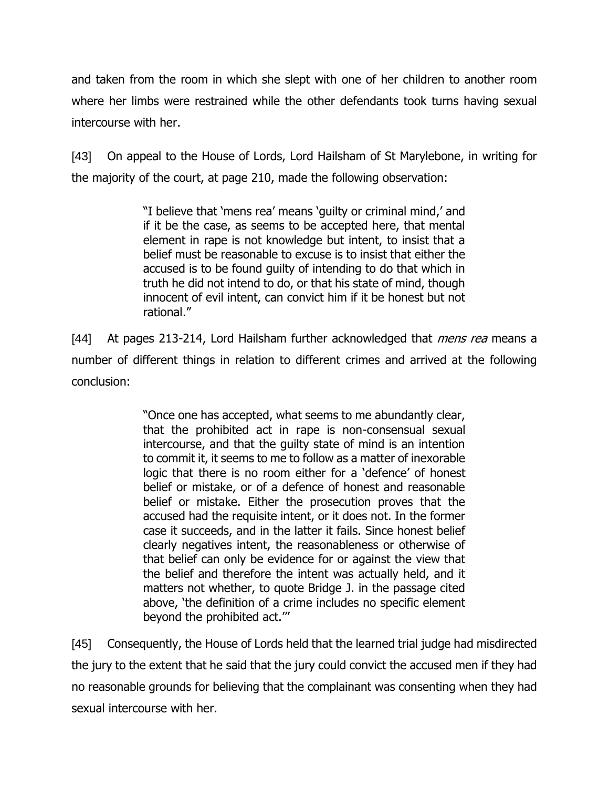and taken from the room in which she slept with one of her children to another room where her limbs were restrained while the other defendants took turns having sexual intercourse with her.

[43] On appeal to the House of Lords, Lord Hailsham of St Marylebone, in writing for the majority of the court, at page 210, made the following observation:

> "I believe that 'mens rea' means 'guilty or criminal mind,' and if it be the case, as seems to be accepted here, that mental element in rape is not knowledge but intent, to insist that a belief must be reasonable to excuse is to insist that either the accused is to be found guilty of intending to do that which in truth he did not intend to do, or that his state of mind, though innocent of evil intent, can convict him if it be honest but not rational."

[44] At pages 213-214, Lord Hailsham further acknowledged that *mens rea* means a number of different things in relation to different crimes and arrived at the following conclusion:

> "Once one has accepted, what seems to me abundantly clear, that the prohibited act in rape is non-consensual sexual intercourse, and that the guilty state of mind is an intention to commit it, it seems to me to follow as a matter of inexorable logic that there is no room either for a 'defence' of honest belief or mistake, or of a defence of honest and reasonable belief or mistake. Either the prosecution proves that the accused had the requisite intent, or it does not. In the former case it succeeds, and in the latter it fails. Since honest belief clearly negatives intent, the reasonableness or otherwise of that belief can only be evidence for or against the view that the belief and therefore the intent was actually held, and it matters not whether, to quote Bridge J. in the passage cited above, 'the definition of a crime includes no specific element beyond the prohibited act.'''

[45] Consequently, the House of Lords held that the learned trial judge had misdirected the jury to the extent that he said that the jury could convict the accused men if they had no reasonable grounds for believing that the complainant was consenting when they had sexual intercourse with her.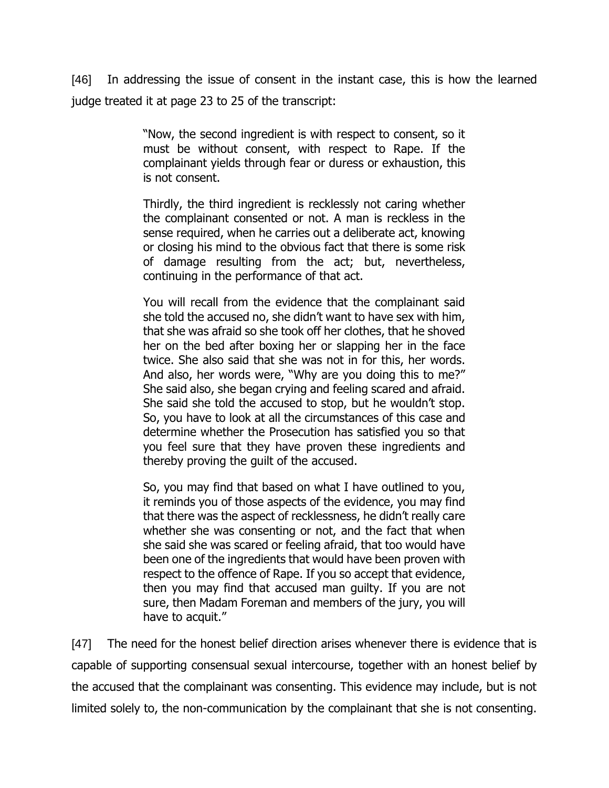[46] In addressing the issue of consent in the instant case, this is how the learned judge treated it at page 23 to 25 of the transcript:

> "Now, the second ingredient is with respect to consent, so it must be without consent, with respect to Rape. If the complainant yields through fear or duress or exhaustion, this is not consent.

> Thirdly, the third ingredient is recklessly not caring whether the complainant consented or not. A man is reckless in the sense required, when he carries out a deliberate act, knowing or closing his mind to the obvious fact that there is some risk of damage resulting from the act; but, nevertheless, continuing in the performance of that act.

> You will recall from the evidence that the complainant said she told the accused no, she didn't want to have sex with him, that she was afraid so she took off her clothes, that he shoved her on the bed after boxing her or slapping her in the face twice. She also said that she was not in for this, her words. And also, her words were, "Why are you doing this to me?" She said also, she began crying and feeling scared and afraid. She said she told the accused to stop, but he wouldn't stop. So, you have to look at all the circumstances of this case and determine whether the Prosecution has satisfied you so that you feel sure that they have proven these ingredients and thereby proving the guilt of the accused.

> So, you may find that based on what I have outlined to you, it reminds you of those aspects of the evidence, you may find that there was the aspect of recklessness, he didn't really care whether she was consenting or not, and the fact that when she said she was scared or feeling afraid, that too would have been one of the ingredients that would have been proven with respect to the offence of Rape. If you so accept that evidence, then you may find that accused man guilty. If you are not sure, then Madam Foreman and members of the jury, you will have to acquit."

[47] The need for the honest belief direction arises whenever there is evidence that is capable of supporting consensual sexual intercourse, together with an honest belief by the accused that the complainant was consenting. This evidence may include, but is not limited solely to, the non-communication by the complainant that she is not consenting.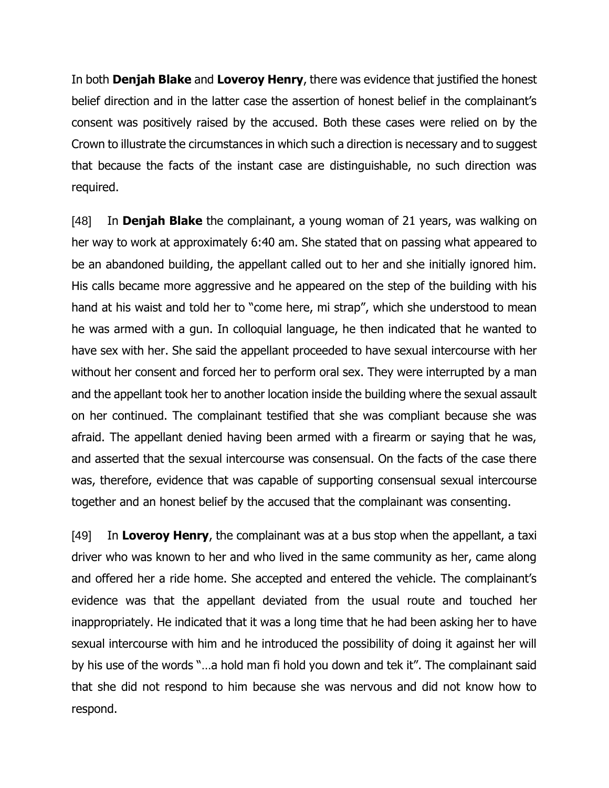In both **Denjah Blake** and **Loveroy Henry**, there was evidence that justified the honest belief direction and in the latter case the assertion of honest belief in the complainant's consent was positively raised by the accused. Both these cases were relied on by the Crown to illustrate the circumstances in which such a direction is necessary and to suggest that because the facts of the instant case are distinguishable, no such direction was required.

[48] In **Denjah Blake** the complainant, a young woman of 21 years, was walking on her way to work at approximately 6:40 am. She stated that on passing what appeared to be an abandoned building, the appellant called out to her and she initially ignored him. His calls became more aggressive and he appeared on the step of the building with his hand at his waist and told her to "come here, mi strap", which she understood to mean he was armed with a gun. In colloquial language, he then indicated that he wanted to have sex with her. She said the appellant proceeded to have sexual intercourse with her without her consent and forced her to perform oral sex. They were interrupted by a man and the appellant took her to another location inside the building where the sexual assault on her continued. The complainant testified that she was compliant because she was afraid. The appellant denied having been armed with a firearm or saying that he was, and asserted that the sexual intercourse was consensual. On the facts of the case there was, therefore, evidence that was capable of supporting consensual sexual intercourse together and an honest belief by the accused that the complainant was consenting.

[49] In **Loveroy Henry**, the complainant was at a bus stop when the appellant, a taxi driver who was known to her and who lived in the same community as her, came along and offered her a ride home. She accepted and entered the vehicle. The complainant's evidence was that the appellant deviated from the usual route and touched her inappropriately. He indicated that it was a long time that he had been asking her to have sexual intercourse with him and he introduced the possibility of doing it against her will by his use of the words "…a hold man fi hold you down and tek it". The complainant said that she did not respond to him because she was nervous and did not know how to respond.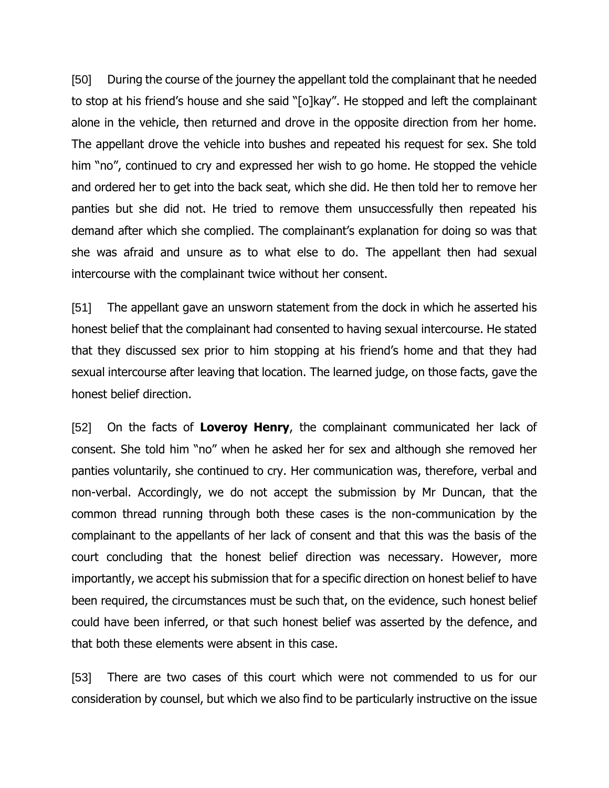[50] During the course of the journey the appellant told the complainant that he needed to stop at his friend's house and she said "[o]kay". He stopped and left the complainant alone in the vehicle, then returned and drove in the opposite direction from her home. The appellant drove the vehicle into bushes and repeated his request for sex. She told him "no", continued to cry and expressed her wish to go home. He stopped the vehicle and ordered her to get into the back seat, which she did. He then told her to remove her panties but she did not. He tried to remove them unsuccessfully then repeated his demand after which she complied. The complainant's explanation for doing so was that she was afraid and unsure as to what else to do. The appellant then had sexual intercourse with the complainant twice without her consent.

[51] The appellant gave an unsworn statement from the dock in which he asserted his honest belief that the complainant had consented to having sexual intercourse. He stated that they discussed sex prior to him stopping at his friend's home and that they had sexual intercourse after leaving that location. The learned judge, on those facts, gave the honest belief direction.

[52] On the facts of **Loveroy Henry**, the complainant communicated her lack of consent. She told him "no" when he asked her for sex and although she removed her panties voluntarily, she continued to cry. Her communication was, therefore, verbal and non-verbal. Accordingly, we do not accept the submission by Mr Duncan, that the common thread running through both these cases is the non-communication by the complainant to the appellants of her lack of consent and that this was the basis of the court concluding that the honest belief direction was necessary. However, more importantly, we accept his submission that for a specific direction on honest belief to have been required, the circumstances must be such that, on the evidence, such honest belief could have been inferred, or that such honest belief was asserted by the defence, and that both these elements were absent in this case.

[53] There are two cases of this court which were not commended to us for our consideration by counsel, but which we also find to be particularly instructive on the issue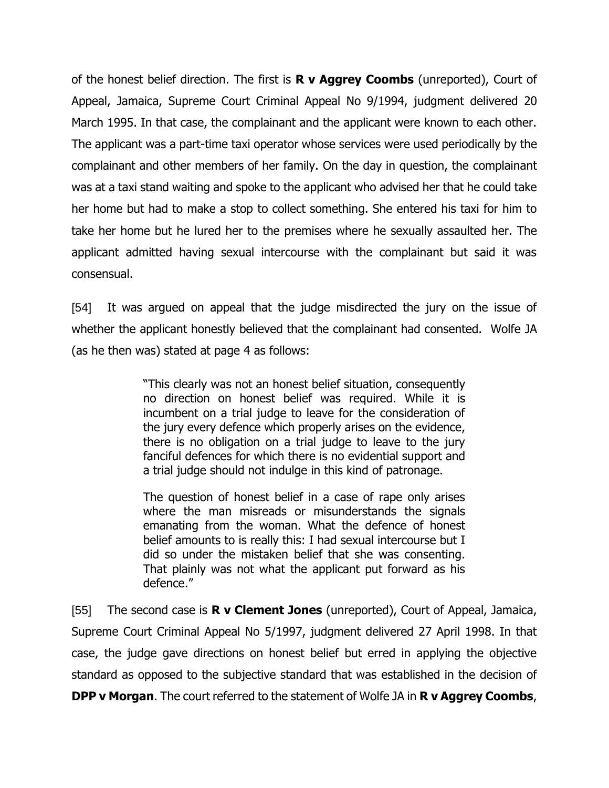of the honest belief direction. The first is **R v Aggrey Coombs** (unreported), Court of Appeal, Jamaica, Supreme Court Criminal Appeal No 9/1994, judgment delivered 20 March 1995. In that case, the complainant and the applicant were known to each other. The applicant was a part-time taxi operator whose services were used periodically by the complainant and other members of her family. On the day in question, the complainant was at a taxi stand waiting and spoke to the applicant who advised her that he could take her home but had to make a stop to collect something. She entered his taxi for him to take her home but he lured her to the premises where he sexually assaulted her. The applicant admitted having sexual intercourse with the complainant but said it was consensual.

[54] It was argued on appeal that the judge misdirected the jury on the issue of whether the applicant honestly believed that the complainant had consented. Wolfe JA (as he then was) stated at page 4 as follows:

> "This clearly was not an honest belief situation, consequently no direction on honest belief was required. While it is incumbent on a trial judge to leave for the consideration of the jury every defence which properly arises on the evidence, there is no obligation on a trial judge to leave to the jury fanciful defences for which there is no evidential support and a trial judge should not indulge in this kind of patronage.

> The question of honest belief in a case of rape only arises where the man misreads or misunderstands the signals emanating from the woman. What the defence of honest belief amounts to is really this: I had sexual intercourse but I did so under the mistaken belief that she was consenting. That plainly was not what the applicant put forward as his defence."

[55] The second case is **R v Clement Jones** (unreported), Court of Appeal, Jamaica, Supreme Court Criminal Appeal No 5/1997, judgment delivered 27 April 1998. In that case, the judge gave directions on honest belief but erred in applying the objective standard as opposed to the subjective standard that was established in the decision of **DPP v Morgan**. The court referred to the statement of Wolfe JA in **R v Aggrey Coombs**,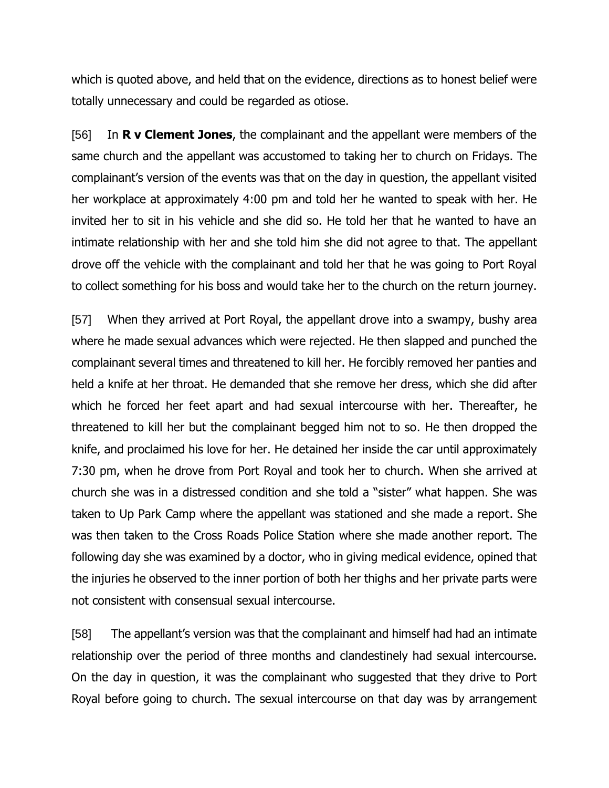which is quoted above, and held that on the evidence, directions as to honest belief were totally unnecessary and could be regarded as otiose.

[56] In **R v Clement Jones**, the complainant and the appellant were members of the same church and the appellant was accustomed to taking her to church on Fridays. The complainant's version of the events was that on the day in question, the appellant visited her workplace at approximately 4:00 pm and told her he wanted to speak with her. He invited her to sit in his vehicle and she did so. He told her that he wanted to have an intimate relationship with her and she told him she did not agree to that. The appellant drove off the vehicle with the complainant and told her that he was going to Port Royal to collect something for his boss and would take her to the church on the return journey.

[57] When they arrived at Port Royal, the appellant drove into a swampy, bushy area where he made sexual advances which were rejected. He then slapped and punched the complainant several times and threatened to kill her. He forcibly removed her panties and held a knife at her throat. He demanded that she remove her dress, which she did after which he forced her feet apart and had sexual intercourse with her. Thereafter, he threatened to kill her but the complainant begged him not to so. He then dropped the knife, and proclaimed his love for her. He detained her inside the car until approximately 7:30 pm, when he drove from Port Royal and took her to church. When she arrived at church she was in a distressed condition and she told a "sister" what happen. She was taken to Up Park Camp where the appellant was stationed and she made a report. She was then taken to the Cross Roads Police Station where she made another report. The following day she was examined by a doctor, who in giving medical evidence, opined that the injuries he observed to the inner portion of both her thighs and her private parts were not consistent with consensual sexual intercourse.

[58] The appellant's version was that the complainant and himself had had an intimate relationship over the period of three months and clandestinely had sexual intercourse. On the day in question, it was the complainant who suggested that they drive to Port Royal before going to church. The sexual intercourse on that day was by arrangement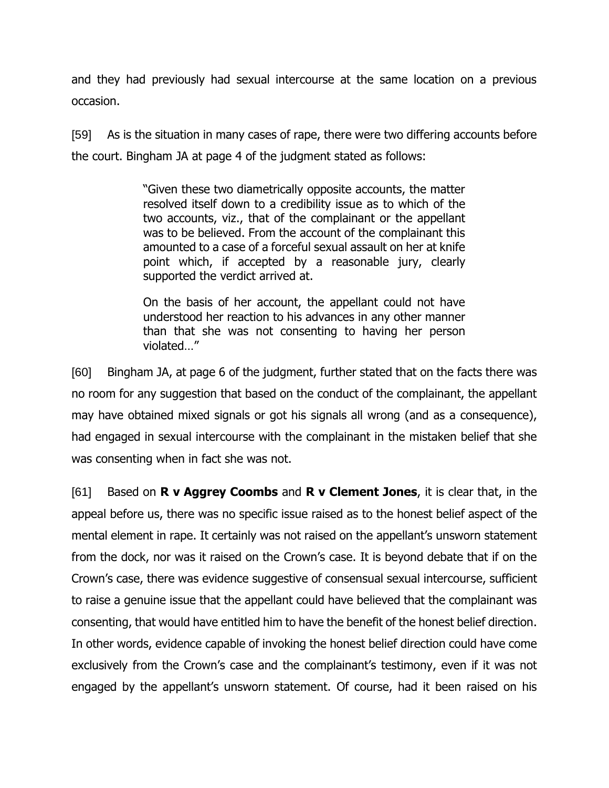and they had previously had sexual intercourse at the same location on a previous occasion.

[59] As is the situation in many cases of rape, there were two differing accounts before the court. Bingham JA at page 4 of the judgment stated as follows:

> "Given these two diametrically opposite accounts, the matter resolved itself down to a credibility issue as to which of the two accounts, viz., that of the complainant or the appellant was to be believed. From the account of the complainant this amounted to a case of a forceful sexual assault on her at knife point which, if accepted by a reasonable jury, clearly supported the verdict arrived at.

> On the basis of her account, the appellant could not have understood her reaction to his advances in any other manner than that she was not consenting to having her person violated…"

[60] Bingham JA, at page 6 of the judgment, further stated that on the facts there was no room for any suggestion that based on the conduct of the complainant, the appellant may have obtained mixed signals or got his signals all wrong (and as a consequence), had engaged in sexual intercourse with the complainant in the mistaken belief that she was consenting when in fact she was not.

[61] Based on **R v Aggrey Coombs** and **R v Clement Jones**, it is clear that, in the appeal before us, there was no specific issue raised as to the honest belief aspect of the mental element in rape. It certainly was not raised on the appellant's unsworn statement from the dock, nor was it raised on the Crown's case. It is beyond debate that if on the Crown's case, there was evidence suggestive of consensual sexual intercourse, sufficient to raise a genuine issue that the appellant could have believed that the complainant was consenting, that would have entitled him to have the benefit of the honest belief direction. In other words, evidence capable of invoking the honest belief direction could have come exclusively from the Crown's case and the complainant's testimony, even if it was not engaged by the appellant's unsworn statement. Of course, had it been raised on his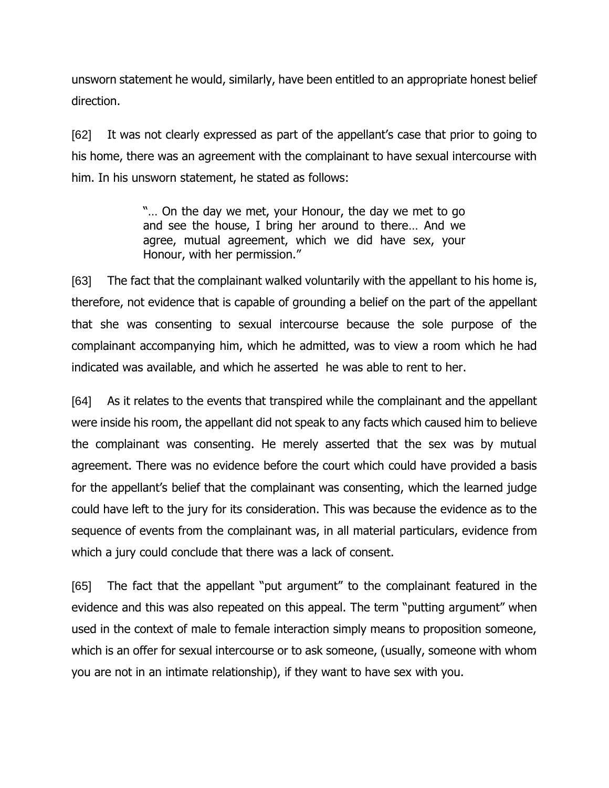unsworn statement he would, similarly, have been entitled to an appropriate honest belief direction.

[62] It was not clearly expressed as part of the appellant's case that prior to going to his home, there was an agreement with the complainant to have sexual intercourse with him. In his unsworn statement, he stated as follows:

> "… On the day we met, your Honour, the day we met to go and see the house, I bring her around to there… And we agree, mutual agreement, which we did have sex, your Honour, with her permission."

[63] The fact that the complainant walked voluntarily with the appellant to his home is, therefore, not evidence that is capable of grounding a belief on the part of the appellant that she was consenting to sexual intercourse because the sole purpose of the complainant accompanying him, which he admitted, was to view a room which he had indicated was available, and which he asserted he was able to rent to her.

[64] As it relates to the events that transpired while the complainant and the appellant were inside his room, the appellant did not speak to any facts which caused him to believe the complainant was consenting. He merely asserted that the sex was by mutual agreement. There was no evidence before the court which could have provided a basis for the appellant's belief that the complainant was consenting, which the learned judge could have left to the jury for its consideration. This was because the evidence as to the sequence of events from the complainant was, in all material particulars, evidence from which a jury could conclude that there was a lack of consent.

[65] The fact that the appellant "put argument" to the complainant featured in the evidence and this was also repeated on this appeal. The term "putting argument" when used in the context of male to female interaction simply means to proposition someone, which is an offer for sexual intercourse or to ask someone, (usually, someone with whom you are not in an intimate relationship), if they want to have sex with you.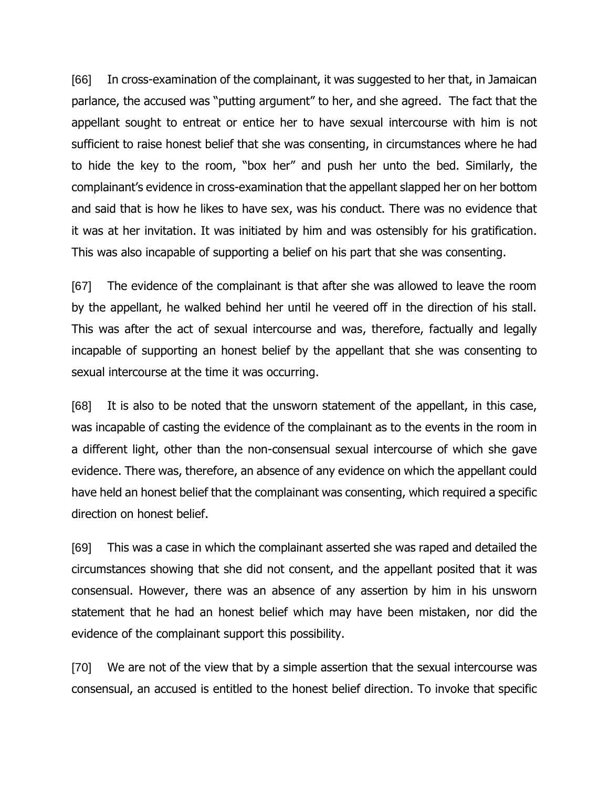[66] In cross-examination of the complainant, it was suggested to her that, in Jamaican parlance, the accused was "putting argument" to her, and she agreed. The fact that the appellant sought to entreat or entice her to have sexual intercourse with him is not sufficient to raise honest belief that she was consenting, in circumstances where he had to hide the key to the room, "box her" and push her unto the bed. Similarly, the complainant's evidence in cross-examination that the appellant slapped her on her bottom and said that is how he likes to have sex, was his conduct. There was no evidence that it was at her invitation. It was initiated by him and was ostensibly for his gratification. This was also incapable of supporting a belief on his part that she was consenting.

[67] The evidence of the complainant is that after she was allowed to leave the room by the appellant, he walked behind her until he veered off in the direction of his stall. This was after the act of sexual intercourse and was, therefore, factually and legally incapable of supporting an honest belief by the appellant that she was consenting to sexual intercourse at the time it was occurring.

[68] It is also to be noted that the unsworn statement of the appellant, in this case, was incapable of casting the evidence of the complainant as to the events in the room in a different light, other than the non-consensual sexual intercourse of which she gave evidence. There was, therefore, an absence of any evidence on which the appellant could have held an honest belief that the complainant was consenting, which required a specific direction on honest belief.

[69] This was a case in which the complainant asserted she was raped and detailed the circumstances showing that she did not consent, and the appellant posited that it was consensual. However, there was an absence of any assertion by him in his unsworn statement that he had an honest belief which may have been mistaken, nor did the evidence of the complainant support this possibility.

[70] We are not of the view that by a simple assertion that the sexual intercourse was consensual, an accused is entitled to the honest belief direction. To invoke that specific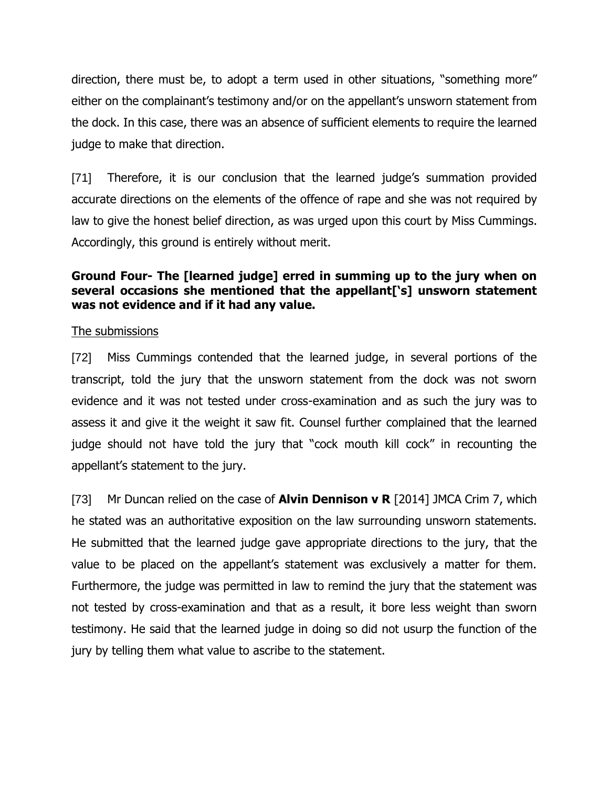direction, there must be, to adopt a term used in other situations, "something more" either on the complainant's testimony and/or on the appellant's unsworn statement from the dock. In this case, there was an absence of sufficient elements to require the learned judge to make that direction.

[71] Therefore, it is our conclusion that the learned judge's summation provided accurate directions on the elements of the offence of rape and she was not required by law to give the honest belief direction, as was urged upon this court by Miss Cummings. Accordingly, this ground is entirely without merit.

# **Ground Four- The [learned judge] erred in summing up to the jury when on several occasions she mentioned that the appellant['s] unsworn statement was not evidence and if it had any value.**

## The submissions

[72] Miss Cummings contended that the learned judge, in several portions of the transcript, told the jury that the unsworn statement from the dock was not sworn evidence and it was not tested under cross-examination and as such the jury was to assess it and give it the weight it saw fit. Counsel further complained that the learned judge should not have told the jury that "cock mouth kill cock" in recounting the appellant's statement to the jury.

[73] Mr Duncan relied on the case of **Alvin Dennison v R** [2014] JMCA Crim 7, which he stated was an authoritative exposition on the law surrounding unsworn statements. He submitted that the learned judge gave appropriate directions to the jury, that the value to be placed on the appellant's statement was exclusively a matter for them. Furthermore, the judge was permitted in law to remind the jury that the statement was not tested by cross-examination and that as a result, it bore less weight than sworn testimony. He said that the learned judge in doing so did not usurp the function of the jury by telling them what value to ascribe to the statement.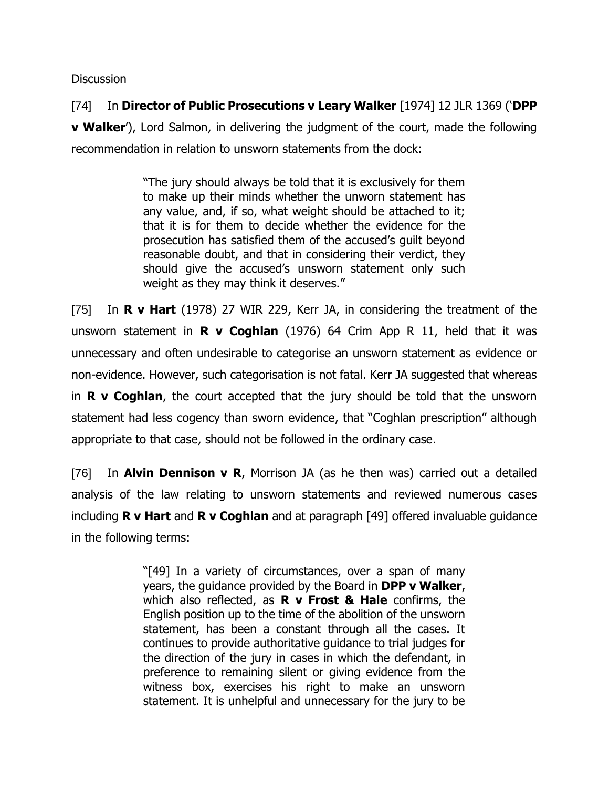### **Discussion**

[74] In **Director of Public Prosecutions v Leary Walker** [1974] 12 JLR 1369 ('**DPP v Walker**'), Lord Salmon, in delivering the judgment of the court, made the following recommendation in relation to unsworn statements from the dock:

> "The jury should always be told that it is exclusively for them to make up their minds whether the unworn statement has any value, and, if so, what weight should be attached to it; that it is for them to decide whether the evidence for the prosecution has satisfied them of the accused's guilt beyond reasonable doubt, and that in considering their verdict, they should give the accused's unsworn statement only such weight as they may think it deserves."

[75] In **R v Hart** (1978) 27 WIR 229, Kerr JA, in considering the treatment of the unsworn statement in **R v Coghlan** (1976) 64 Crim App R 11, held that it was unnecessary and often undesirable to categorise an unsworn statement as evidence or non-evidence. However, such categorisation is not fatal. Kerr JA suggested that whereas in **R v Coghlan**, the court accepted that the jury should be told that the unsworn statement had less cogency than sworn evidence, that "Coghlan prescription" although appropriate to that case, should not be followed in the ordinary case.

[76] In **Alvin Dennison v R**, Morrison JA (as he then was) carried out a detailed analysis of the law relating to unsworn statements and reviewed numerous cases including **R v Hart** and **R v Coghlan** and at paragraph [49] offered invaluable guidance in the following terms:

> "[49] In a variety of circumstances, over a span of many years, the guidance provided by the Board in **DPP v Walker**, which also reflected, as **R v Frost & Hale** confirms, the English position up to the time of the abolition of the unsworn statement, has been a constant through all the cases. It continues to provide authoritative guidance to trial judges for the direction of the jury in cases in which the defendant, in preference to remaining silent or giving evidence from the witness box, exercises his right to make an unsworn statement. It is unhelpful and unnecessary for the jury to be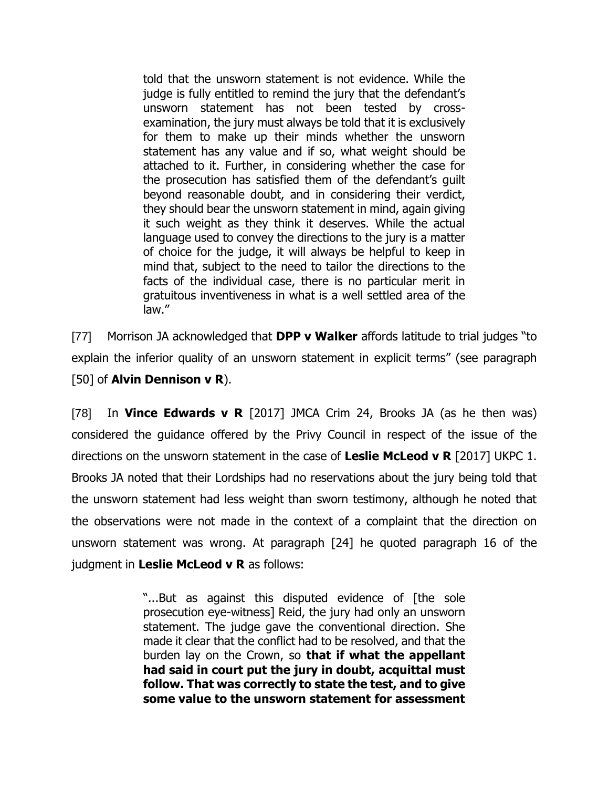told that the unsworn statement is not evidence. While the judge is fully entitled to remind the jury that the defendant's unsworn statement has not been tested by crossexamination, the jury must always be told that it is exclusively for them to make up their minds whether the unsworn statement has any value and if so, what weight should be attached to it. Further, in considering whether the case for the prosecution has satisfied them of the defendant's guilt beyond reasonable doubt, and in considering their verdict, they should bear the unsworn statement in mind, again giving it such weight as they think it deserves. While the actual language used to convey the directions to the jury is a matter of choice for the judge, it will always be helpful to keep in mind that, subject to the need to tailor the directions to the facts of the individual case, there is no particular merit in gratuitous inventiveness in what is a well settled area of the law."

[77] Morrison JA acknowledged that **DPP v Walker** affords latitude to trial judges "to explain the inferior quality of an unsworn statement in explicit terms" (see paragraph [50] of **Alvin Dennison v R**).

[78] In **Vince Edwards v R** [2017] JMCA Crim 24, Brooks JA (as he then was) considered the guidance offered by the Privy Council in respect of the issue of the directions on the unsworn statement in the case of **Leslie McLeod v R** [2017] UKPC 1. Brooks JA noted that their Lordships had no reservations about the jury being told that the unsworn statement had less weight than sworn testimony, although he noted that the observations were not made in the context of a complaint that the direction on unsworn statement was wrong. At paragraph [24] he quoted paragraph 16 of the judgment in **Leslie McLeod v R** as follows:

> "...But as against this disputed evidence of [the sole prosecution eye-witness] Reid, the jury had only an unsworn statement. The judge gave the conventional direction. She made it clear that the conflict had to be resolved, and that the burden lay on the Crown, so **that if what the appellant had said in court put the jury in doubt, acquittal must follow. That was correctly to state the test, and to give some value to the unsworn statement for assessment**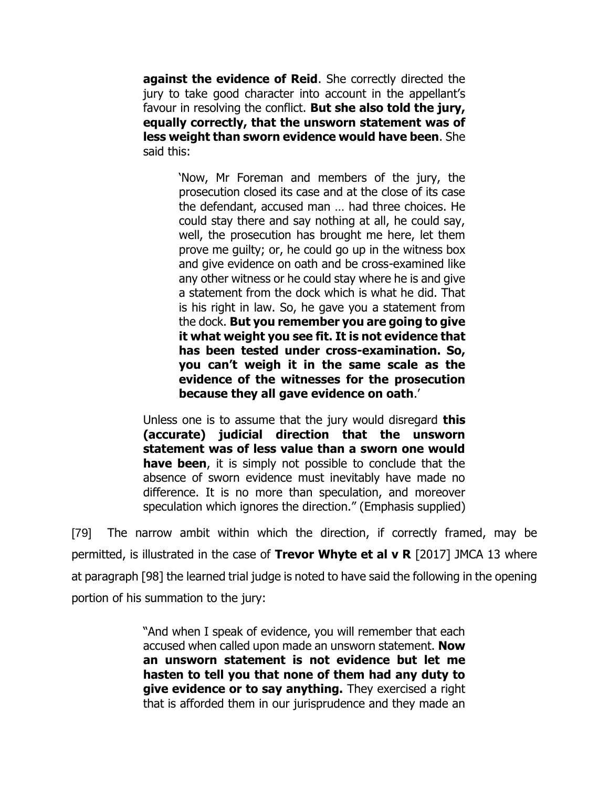**against the evidence of Reid**. She correctly directed the jury to take good character into account in the appellant's favour in resolving the conflict. **But she also told the jury, equally correctly, that the unsworn statement was of less weight than sworn evidence would have been**. She said this:

> 'Now, Mr Foreman and members of the jury, the prosecution closed its case and at the close of its case the defendant, accused man … had three choices. He could stay there and say nothing at all, he could say, well, the prosecution has brought me here, let them prove me guilty; or, he could go up in the witness box and give evidence on oath and be cross-examined like any other witness or he could stay where he is and give a statement from the dock which is what he did. That is his right in law. So, he gave you a statement from the dock. **But you remember you are going to give it what weight you see fit. It is not evidence that has been tested under cross-examination. So, you can't weigh it in the same scale as the evidence of the witnesses for the prosecution because they all gave evidence on oath**.'

Unless one is to assume that the jury would disregard **this (accurate) judicial direction that the unsworn statement was of less value than a sworn one would have been**, it is simply not possible to conclude that the absence of sworn evidence must inevitably have made no difference. It is no more than speculation, and moreover speculation which ignores the direction." (Emphasis supplied)

[79] The narrow ambit within which the direction, if correctly framed, may be permitted, is illustrated in the case of **Trevor Whyte et al v R** [2017] JMCA 13 where at paragraph [98] the learned trial judge is noted to have said the following in the opening portion of his summation to the jury:

> "And when I speak of evidence, you will remember that each accused when called upon made an unsworn statement. **Now an unsworn statement is not evidence but let me hasten to tell you that none of them had any duty to give evidence or to say anything.** They exercised a right that is afforded them in our jurisprudence and they made an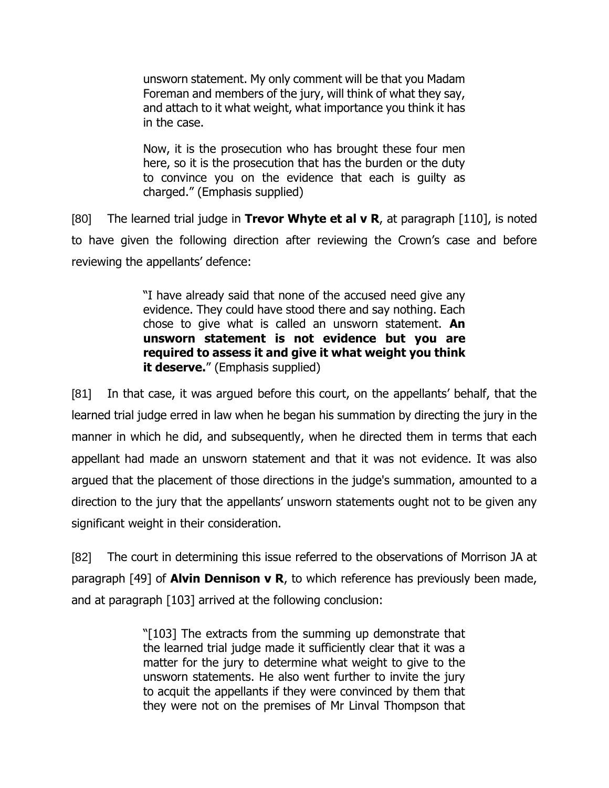unsworn statement. My only comment will be that you Madam Foreman and members of the jury, will think of what they say, and attach to it what weight, what importance you think it has in the case.

Now, it is the prosecution who has brought these four men here, so it is the prosecution that has the burden or the duty to convince you on the evidence that each is guilty as charged." (Emphasis supplied)

[80] The learned trial judge in **Trevor Whyte et al v R**, at paragraph [110], is noted to have given the following direction after reviewing the Crown's case and before reviewing the appellants' defence:

> "I have already said that none of the accused need give any evidence. They could have stood there and say nothing. Each chose to give what is called an unsworn statement. **An unsworn statement is not evidence but you are required to assess it and give it what weight you think it deserve.**" (Emphasis supplied)

[81] In that case, it was argued before this court, on the appellants' behalf, that the learned trial judge erred in law when he began his summation by directing the jury in the manner in which he did, and subsequently, when he directed them in terms that each appellant had made an unsworn statement and that it was not evidence. It was also argued that the placement of those directions in the judge's summation, amounted to a direction to the jury that the appellants' unsworn statements ought not to be given any significant weight in their consideration.

[82] The court in determining this issue referred to the observations of Morrison JA at paragraph [49] of **Alvin Dennison v R**, to which reference has previously been made, and at paragraph [103] arrived at the following conclusion:

> "[103] The extracts from the summing up demonstrate that the learned trial judge made it sufficiently clear that it was a matter for the jury to determine what weight to give to the unsworn statements. He also went further to invite the jury to acquit the appellants if they were convinced by them that they were not on the premises of Mr Linval Thompson that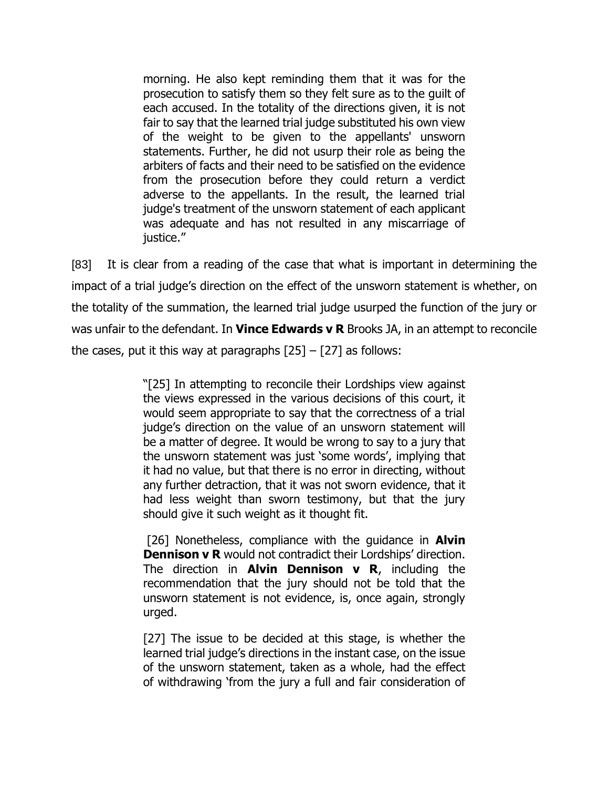morning. He also kept reminding them that it was for the prosecution to satisfy them so they felt sure as to the guilt of each accused. In the totality of the directions given, it is not fair to say that the learned trial judge substituted his own view of the weight to be given to the appellants' unsworn statements. Further, he did not usurp their role as being the arbiters of facts and their need to be satisfied on the evidence from the prosecution before they could return a verdict adverse to the appellants. In the result, the learned trial judge's treatment of the unsworn statement of each applicant was adequate and has not resulted in any miscarriage of justice."

[83] It is clear from a reading of the case that what is important in determining the impact of a trial judge's direction on the effect of the unsworn statement is whether, on the totality of the summation, the learned trial judge usurped the function of the jury or was unfair to the defendant. In **Vince Edwards v R** Brooks JA, in an attempt to reconcile the cases, put it this way at paragraphs  $[25] - [27]$  as follows:

> "[25] In attempting to reconcile their Lordships view against the views expressed in the various decisions of this court, it would seem appropriate to say that the correctness of a trial judge's direction on the value of an unsworn statement will be a matter of degree. It would be wrong to say to a jury that the unsworn statement was just 'some words', implying that it had no value, but that there is no error in directing, without any further detraction, that it was not sworn evidence, that it had less weight than sworn testimony, but that the jury should give it such weight as it thought fit.

> [26] Nonetheless, compliance with the guidance in **Alvin Dennison v R** would not contradict their Lordships' direction. The direction in **Alvin Dennison v R**, including the recommendation that the jury should not be told that the unsworn statement is not evidence, is, once again, strongly urged.

> [27] The issue to be decided at this stage, is whether the learned trial judge's directions in the instant case, on the issue of the unsworn statement, taken as a whole, had the effect of withdrawing 'from the jury a full and fair consideration of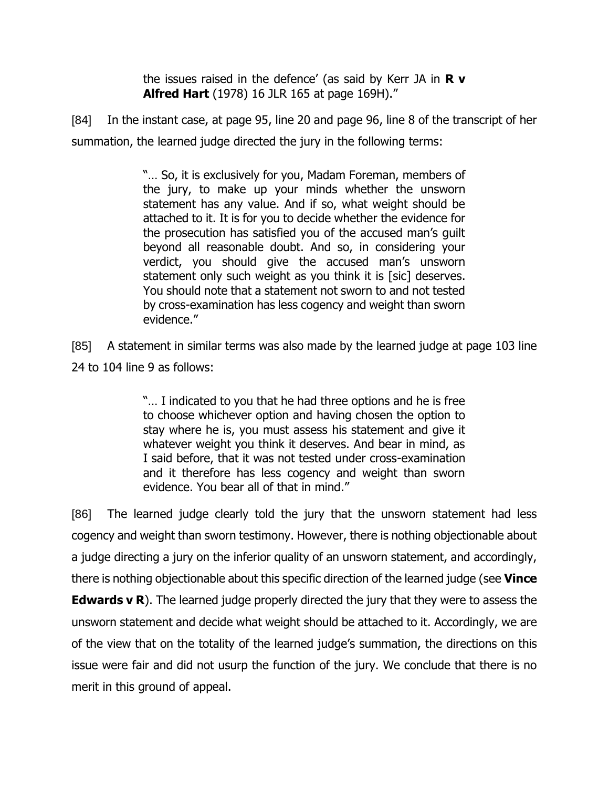the issues raised in the defence' (as said by Kerr JA in **R v Alfred Hart** (1978) 16 JLR 165 at page 169H)."

[84] In the instant case, at page 95, line 20 and page 96, line 8 of the transcript of her summation, the learned judge directed the jury in the following terms:

> "… So, it is exclusively for you, Madam Foreman, members of the jury, to make up your minds whether the unsworn statement has any value. And if so, what weight should be attached to it. It is for you to decide whether the evidence for the prosecution has satisfied you of the accused man's guilt beyond all reasonable doubt. And so, in considering your verdict, you should give the accused man's unsworn statement only such weight as you think it is [sic] deserves. You should note that a statement not sworn to and not tested by cross-examination has less cogency and weight than sworn evidence."

[85] A statement in similar terms was also made by the learned judge at page 103 line 24 to 104 line 9 as follows:

> "… I indicated to you that he had three options and he is free to choose whichever option and having chosen the option to stay where he is, you must assess his statement and give it whatever weight you think it deserves. And bear in mind, as I said before, that it was not tested under cross-examination and it therefore has less cogency and weight than sworn evidence. You bear all of that in mind."

[86] The learned judge clearly told the jury that the unsworn statement had less cogency and weight than sworn testimony. However, there is nothing objectionable about a judge directing a jury on the inferior quality of an unsworn statement, and accordingly, there is nothing objectionable about this specific direction of the learned judge (see **Vince Edwards v R**). The learned judge properly directed the jury that they were to assess the unsworn statement and decide what weight should be attached to it. Accordingly, we are of the view that on the totality of the learned judge's summation, the directions on this issue were fair and did not usurp the function of the jury. We conclude that there is no merit in this ground of appeal.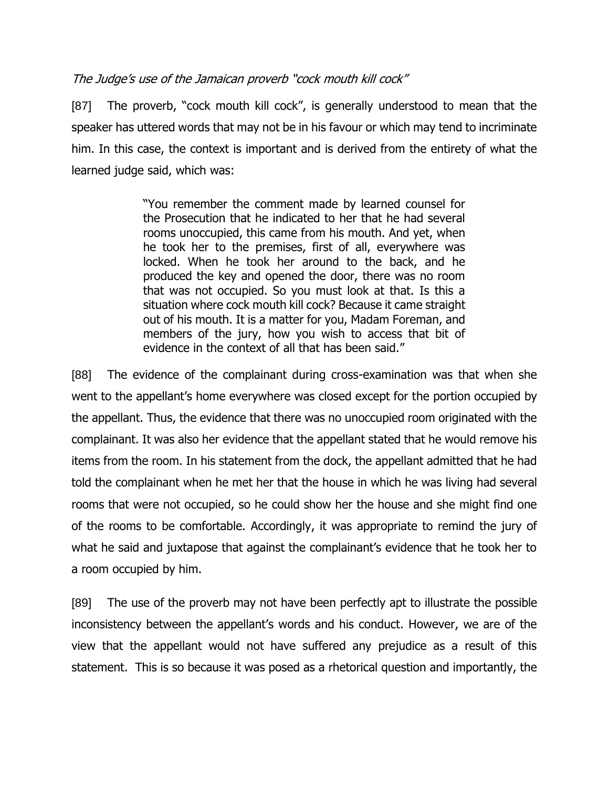# The Judge's use of the Jamaican proverb "cock mouth kill cock"

[87] The proverb, "cock mouth kill cock", is generally understood to mean that the speaker has uttered words that may not be in his favour or which may tend to incriminate him. In this case, the context is important and is derived from the entirety of what the learned judge said, which was:

> "You remember the comment made by learned counsel for the Prosecution that he indicated to her that he had several rooms unoccupied, this came from his mouth. And yet, when he took her to the premises, first of all, everywhere was locked. When he took her around to the back, and he produced the key and opened the door, there was no room that was not occupied. So you must look at that. Is this a situation where cock mouth kill cock? Because it came straight out of his mouth. It is a matter for you, Madam Foreman, and members of the jury, how you wish to access that bit of evidence in the context of all that has been said."

[88] The evidence of the complainant during cross-examination was that when she went to the appellant's home everywhere was closed except for the portion occupied by the appellant. Thus, the evidence that there was no unoccupied room originated with the complainant. It was also her evidence that the appellant stated that he would remove his items from the room. In his statement from the dock, the appellant admitted that he had told the complainant when he met her that the house in which he was living had several rooms that were not occupied, so he could show her the house and she might find one of the rooms to be comfortable. Accordingly, it was appropriate to remind the jury of what he said and juxtapose that against the complainant's evidence that he took her to a room occupied by him.

[89] The use of the proverb may not have been perfectly apt to illustrate the possible inconsistency between the appellant's words and his conduct. However, we are of the view that the appellant would not have suffered any prejudice as a result of this statement. This is so because it was posed as a rhetorical question and importantly, the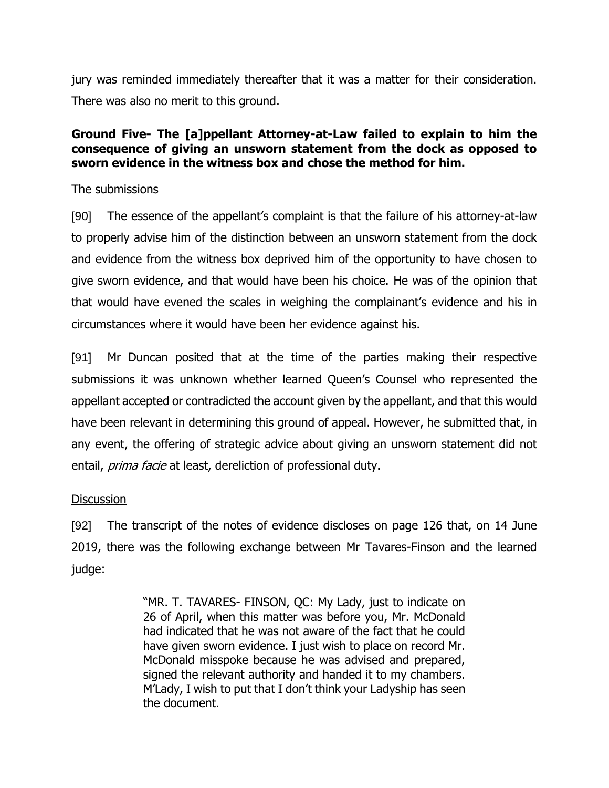jury was reminded immediately thereafter that it was a matter for their consideration. There was also no merit to this ground.

# **Ground Five- The [a]ppellant Attorney-at-Law failed to explain to him the consequence of giving an unsworn statement from the dock as opposed to sworn evidence in the witness box and chose the method for him.**

### The submissions

[90] The essence of the appellant's complaint is that the failure of his attorney-at-law to properly advise him of the distinction between an unsworn statement from the dock and evidence from the witness box deprived him of the opportunity to have chosen to give sworn evidence, and that would have been his choice. He was of the opinion that that would have evened the scales in weighing the complainant's evidence and his in circumstances where it would have been her evidence against his.

[91] Mr Duncan posited that at the time of the parties making their respective submissions it was unknown whether learned Queen's Counsel who represented the appellant accepted or contradicted the account given by the appellant, and that this would have been relevant in determining this ground of appeal. However, he submitted that, in any event, the offering of strategic advice about giving an unsworn statement did not entail, *prima facie* at least, dereliction of professional duty.

### **Discussion**

[92] The transcript of the notes of evidence discloses on page 126 that, on 14 June 2019, there was the following exchange between Mr Tavares-Finson and the learned judge:

> "MR. T. TAVARES- FINSON, QC: My Lady, just to indicate on 26 of April, when this matter was before you, Mr. McDonald had indicated that he was not aware of the fact that he could have given sworn evidence. I just wish to place on record Mr. McDonald misspoke because he was advised and prepared, signed the relevant authority and handed it to my chambers. M'Lady, I wish to put that I don't think your Ladyship has seen the document.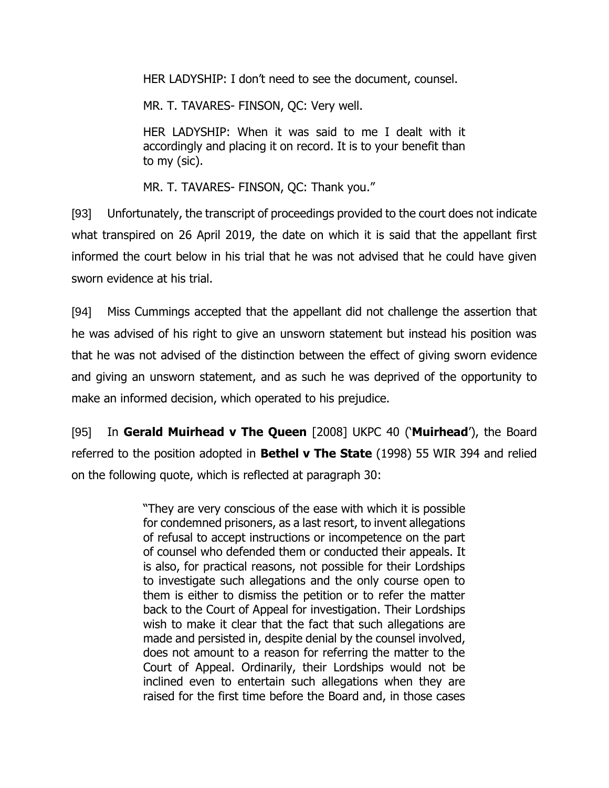HER LADYSHIP: I don't need to see the document, counsel.

MR. T. TAVARES- FINSON, QC: Very well.

HER LADYSHIP: When it was said to me I dealt with it accordingly and placing it on record. It is to your benefit than to my (sic).

MR. T. TAVARES- FINSON, QC: Thank you."

[93] Unfortunately, the transcript of proceedings provided to the court does not indicate what transpired on 26 April 2019, the date on which it is said that the appellant first informed the court below in his trial that he was not advised that he could have given sworn evidence at his trial.

[94] Miss Cummings accepted that the appellant did not challenge the assertion that he was advised of his right to give an unsworn statement but instead his position was that he was not advised of the distinction between the effect of giving sworn evidence and giving an unsworn statement, and as such he was deprived of the opportunity to make an informed decision, which operated to his prejudice.

[95] In **Gerald Muirhead v The Queen** [2008] UKPC 40 ('**Muirhead**'), the Board referred to the position adopted in **Bethel v The State** (1998) 55 WIR 394 and relied on the following quote, which is reflected at paragraph 30:

> "They are very conscious of the ease with which it is possible for condemned prisoners, as a last resort, to invent allegations of refusal to accept instructions or incompetence on the part of counsel who defended them or conducted their appeals. It is also, for practical reasons, not possible for their Lordships to investigate such allegations and the only course open to them is either to dismiss the petition or to refer the matter back to the Court of Appeal for investigation. Their Lordships wish to make it clear that the fact that such allegations are made and persisted in, despite denial by the counsel involved, does not amount to a reason for referring the matter to the Court of Appeal. Ordinarily, their Lordships would not be inclined even to entertain such allegations when they are raised for the first time before the Board and, in those cases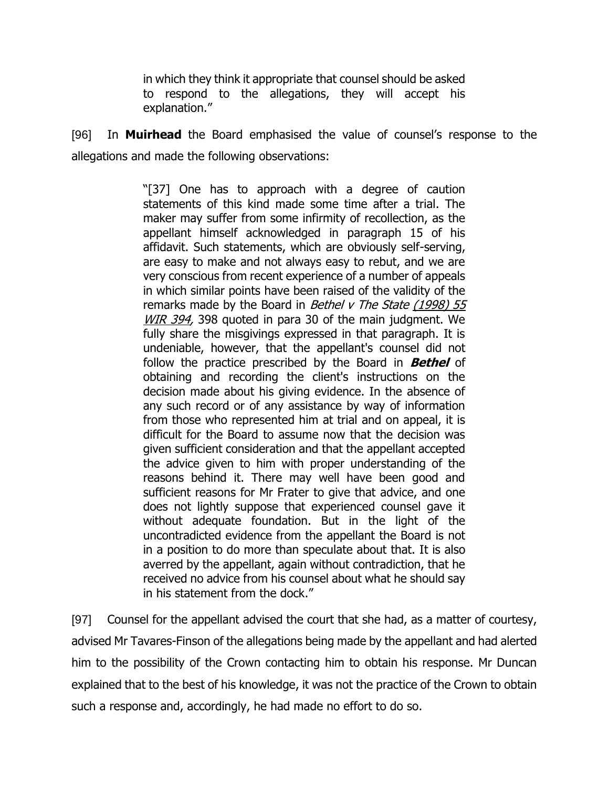in which they think it appropriate that counsel should be asked to respond to the allegations, they will accept his explanation."

[96] In **Muirhead** the Board emphasised the value of counsel's response to the allegations and made the following observations:

> "[37] One has to approach with a degree of caution statements of this kind made some time after a trial. The maker may suffer from some infirmity of recollection, as the appellant himself acknowledged in paragraph 15 of his affidavit. Such statements, which are obviously self-serving, are easy to make and not always easy to rebut, and we are very conscious from recent experience of a number of appeals in which similar points have been raised of the validity of the remarks made by the Board in Bethel  $v$  The State  $(1998)$  55 [WIR 394,](https://www.lexisnexis.com/uk/legal/citationlinkHandler.faces?bct=A&service=citation&risb=&WIR&$sel1!%251998%25$year!%251998%25$sel2!%2555%25$vol!%2555%25$page!%25394%25) 398 quoted in para 30 of the main judgment. We fully share the misgivings expressed in that paragraph. It is undeniable, however, that the appellant's counsel did not follow the practice prescribed by the Board in **Bethel** of obtaining and recording the client's instructions on the decision made about his giving evidence. In the absence of any such record or of any assistance by way of information from those who represented him at trial and on appeal, it is difficult for the Board to assume now that the decision was given sufficient consideration and that the appellant accepted the advice given to him with proper understanding of the reasons behind it. There may well have been good and sufficient reasons for Mr Frater to give that advice, and one does not lightly suppose that experienced counsel gave it without adequate foundation. But in the light of the uncontradicted evidence from the appellant the Board is not in a position to do more than speculate about that. It is also averred by the appellant, again without contradiction, that he received no advice from his counsel about what he should say in his statement from the dock."

[97] Counsel for the appellant advised the court that she had, as a matter of courtesy, advised Mr Tavares-Finson of the allegations being made by the appellant and had alerted him to the possibility of the Crown contacting him to obtain his response. Mr Duncan explained that to the best of his knowledge, it was not the practice of the Crown to obtain such a response and, accordingly, he had made no effort to do so.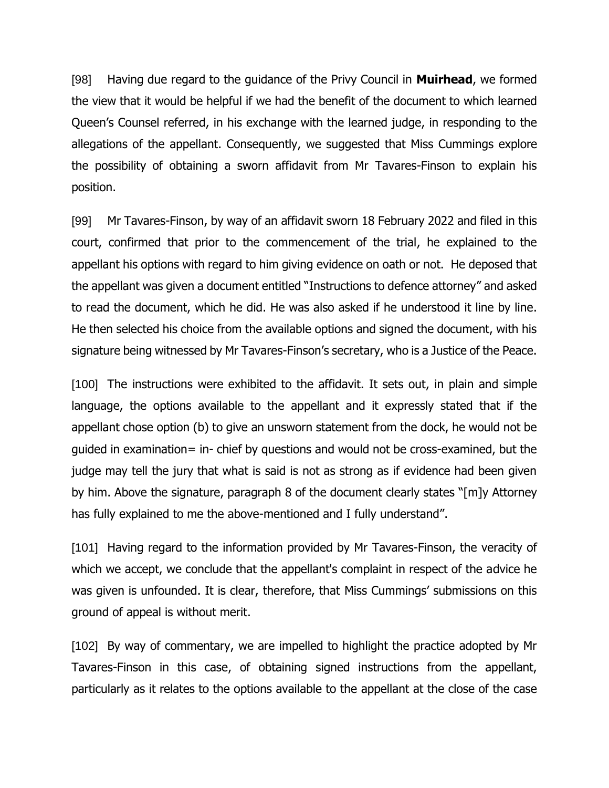[98] Having due regard to the guidance of the Privy Council in **Muirhead**, we formed the view that it would be helpful if we had the benefit of the document to which learned Queen's Counsel referred, in his exchange with the learned judge, in responding to the allegations of the appellant. Consequently, we suggested that Miss Cummings explore the possibility of obtaining a sworn affidavit from Mr Tavares-Finson to explain his position.

[99] Mr Tavares-Finson, by way of an affidavit sworn 18 February 2022 and filed in this court, confirmed that prior to the commencement of the trial, he explained to the appellant his options with regard to him giving evidence on oath or not. He deposed that the appellant was given a document entitled "Instructions to defence attorney" and asked to read the document, which he did. He was also asked if he understood it line by line. He then selected his choice from the available options and signed the document, with his signature being witnessed by Mr Tavares-Finson's secretary, who is a Justice of the Peace.

[100] The instructions were exhibited to the affidavit. It sets out, in plain and simple language, the options available to the appellant and it expressly stated that if the appellant chose option (b) to give an unsworn statement from the dock, he would not be guided in examination= in- chief by questions and would not be cross-examined, but the judge may tell the jury that what is said is not as strong as if evidence had been given by him. Above the signature, paragraph 8 of the document clearly states "[m]y Attorney has fully explained to me the above-mentioned and I fully understand".

[101] Having regard to the information provided by Mr Tavares-Finson, the veracity of which we accept, we conclude that the appellant's complaint in respect of the advice he was given is unfounded. It is clear, therefore, that Miss Cummings' submissions on this ground of appeal is without merit.

[102] By way of commentary, we are impelled to highlight the practice adopted by Mr Tavares-Finson in this case, of obtaining signed instructions from the appellant, particularly as it relates to the options available to the appellant at the close of the case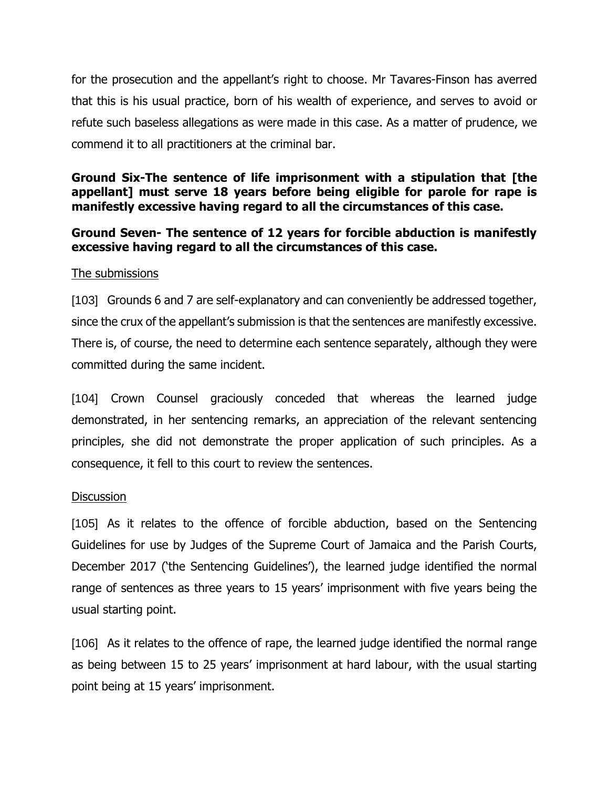for the prosecution and the appellant's right to choose. Mr Tavares-Finson has averred that this is his usual practice, born of his wealth of experience, and serves to avoid or refute such baseless allegations as were made in this case. As a matter of prudence, we commend it to all practitioners at the criminal bar.

## **Ground Six-The sentence of life imprisonment with a stipulation that [the appellant] must serve 18 years before being eligible for parole for rape is manifestly excessive having regard to all the circumstances of this case.**

# **Ground Seven- The sentence of 12 years for forcible abduction is manifestly excessive having regard to all the circumstances of this case.**

# The submissions

[103] Grounds 6 and 7 are self-explanatory and can conveniently be addressed together, since the crux of the appellant's submission is that the sentences are manifestly excessive. There is, of course, the need to determine each sentence separately, although they were committed during the same incident.

[104] Crown Counsel graciously conceded that whereas the learned judge demonstrated, in her sentencing remarks, an appreciation of the relevant sentencing principles, she did not demonstrate the proper application of such principles. As a consequence, it fell to this court to review the sentences.

### **Discussion**

[105] As it relates to the offence of forcible abduction, based on the Sentencing Guidelines for use by Judges of the Supreme Court of Jamaica and the Parish Courts, December 2017 ('the Sentencing Guidelines'), the learned judge identified the normal range of sentences as three years to 15 years' imprisonment with five years being the usual starting point.

[106] As it relates to the offence of rape, the learned judge identified the normal range as being between 15 to 25 years' imprisonment at hard labour, with the usual starting point being at 15 years' imprisonment.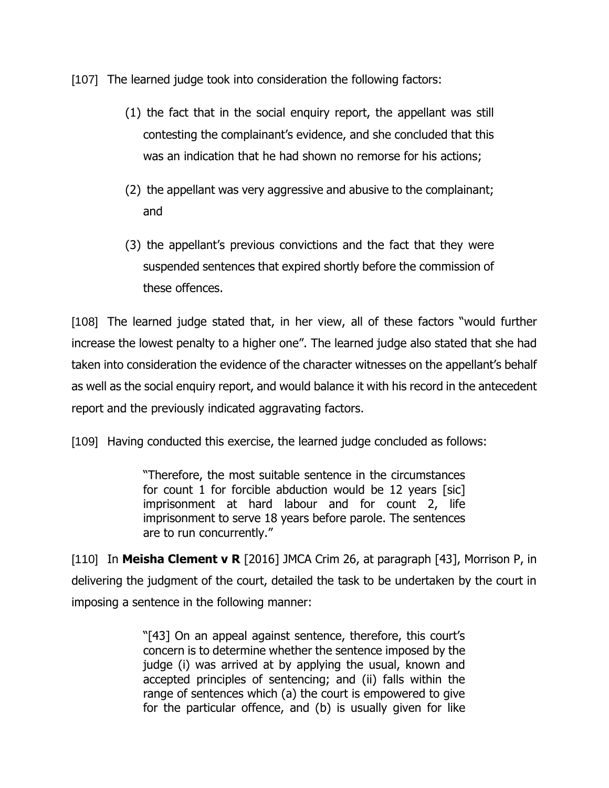[107] The learned judge took into consideration the following factors:

- (1) the fact that in the social enquiry report, the appellant was still contesting the complainant's evidence, and she concluded that this was an indication that he had shown no remorse for his actions;
- (2) the appellant was very aggressive and abusive to the complainant; and
- (3) the appellant's previous convictions and the fact that they were suspended sentences that expired shortly before the commission of these offences.

[108] The learned judge stated that, in her view, all of these factors "would further increase the lowest penalty to a higher one". The learned judge also stated that she had taken into consideration the evidence of the character witnesses on the appellant's behalf as well as the social enquiry report, and would balance it with his record in the antecedent report and the previously indicated aggravating factors.

[109] Having conducted this exercise, the learned judge concluded as follows:

"Therefore, the most suitable sentence in the circumstances for count 1 for forcible abduction would be 12 years [sic] imprisonment at hard labour and for count 2, life imprisonment to serve 18 years before parole. The sentences are to run concurrently."

[110] In **Meisha Clement v R** [2016] JMCA Crim 26, at paragraph [43], Morrison P, in delivering the judgment of the court, detailed the task to be undertaken by the court in imposing a sentence in the following manner:

> "[43] On an appeal against sentence, therefore, this court's concern is to determine whether the sentence imposed by the judge (i) was arrived at by applying the usual, known and accepted principles of sentencing; and (ii) falls within the range of sentences which (a) the court is empowered to give for the particular offence, and (b) is usually given for like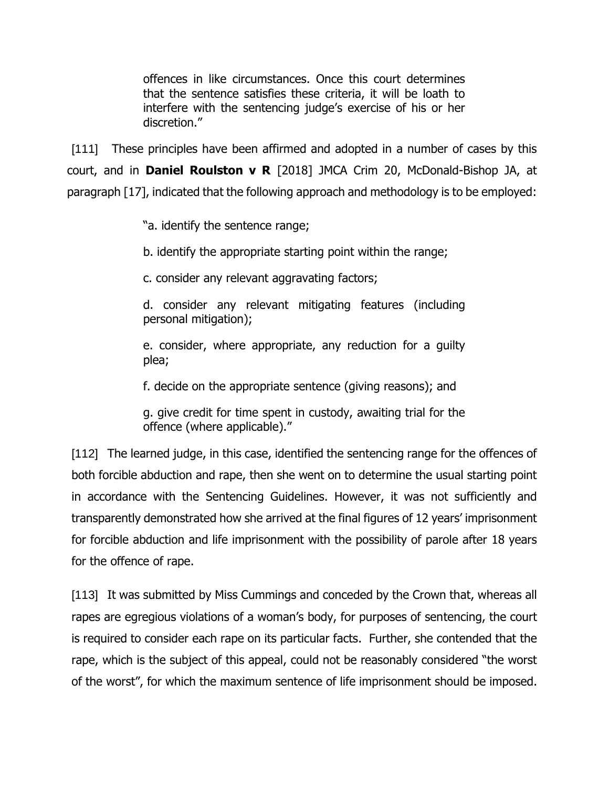offences in like circumstances. Once this court determines that the sentence satisfies these criteria, it will be loath to interfere with the sentencing judge's exercise of his or her discretion."

[111] These principles have been affirmed and adopted in a number of cases by this court, and in **Daniel Roulston v R** [2018] JMCA Crim 20, McDonald-Bishop JA, at paragraph [17], indicated that the following approach and methodology is to be employed:

"a. identify the sentence range;

b. identify the appropriate starting point within the range;

c. consider any relevant aggravating factors;

d. consider any relevant mitigating features (including personal mitigation);

e. consider, where appropriate, any reduction for a guilty plea;

f. decide on the appropriate sentence (giving reasons); and

g. give credit for time spent in custody, awaiting trial for the offence (where applicable)."

[112] The learned judge, in this case, identified the sentencing range for the offences of both forcible abduction and rape, then she went on to determine the usual starting point in accordance with the Sentencing Guidelines. However, it was not sufficiently and transparently demonstrated how she arrived at the final figures of 12 years' imprisonment for forcible abduction and life imprisonment with the possibility of parole after 18 years for the offence of rape.

[113] It was submitted by Miss Cummings and conceded by the Crown that, whereas all rapes are egregious violations of a woman's body, for purposes of sentencing, the court is required to consider each rape on its particular facts. Further, she contended that the rape, which is the subject of this appeal, could not be reasonably considered "the worst of the worst", for which the maximum sentence of life imprisonment should be imposed.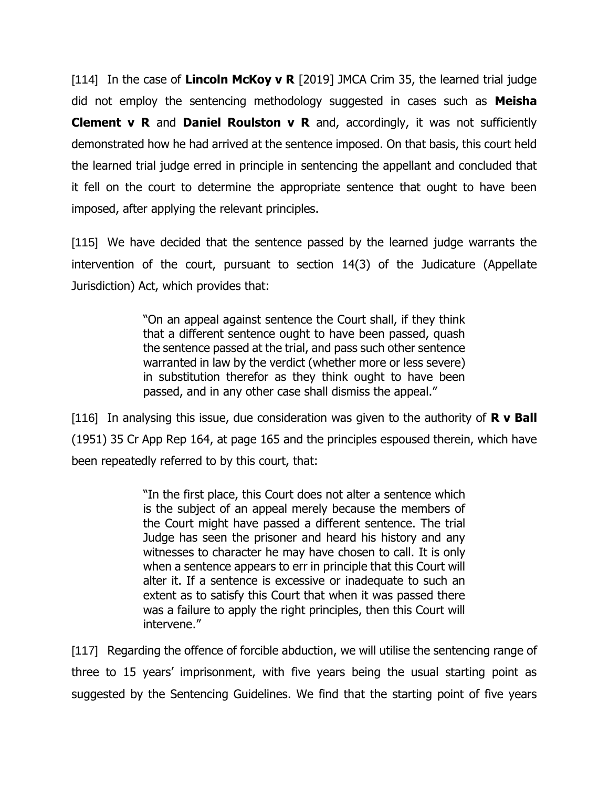[114] In the case of **Lincoln McKoy v R** [2019] JMCA Crim 35, the learned trial judge did not employ the sentencing methodology suggested in cases such as **Meisha Clement v R** and **Daniel Roulston v R** and, accordingly, it was not sufficiently demonstrated how he had arrived at the sentence imposed. On that basis, this court held the learned trial judge erred in principle in sentencing the appellant and concluded that it fell on the court to determine the appropriate sentence that ought to have been imposed, after applying the relevant principles.

[115] We have decided that the sentence passed by the learned judge warrants the intervention of the court, pursuant to section 14(3) of the Judicature (Appellate Jurisdiction) Act, which provides that:

> "On an appeal against sentence the Court shall, if they think that a different sentence ought to have been passed, quash the sentence passed at the trial, and pass such other sentence warranted in law by the verdict (whether more or less severe) in substitution therefor as they think ought to have been passed, and in any other case shall dismiss the appeal."

[116] In analysing this issue, due consideration was given to the authority of **R v Ball** (1951) 35 Cr App Rep 164, at page 165 and the principles espoused therein, which have been repeatedly referred to by this court, that:

> "In the first place, this Court does not alter a sentence which is the subject of an appeal merely because the members of the Court might have passed a different sentence. The trial Judge has seen the prisoner and heard his history and any witnesses to character he may have chosen to call. It is only when a sentence appears to err in principle that this Court will alter it. If a sentence is excessive or inadequate to such an extent as to satisfy this Court that when it was passed there was a failure to apply the right principles, then this Court will intervene."

[117] Regarding the offence of forcible abduction, we will utilise the sentencing range of three to 15 years' imprisonment, with five years being the usual starting point as suggested by the Sentencing Guidelines. We find that the starting point of five years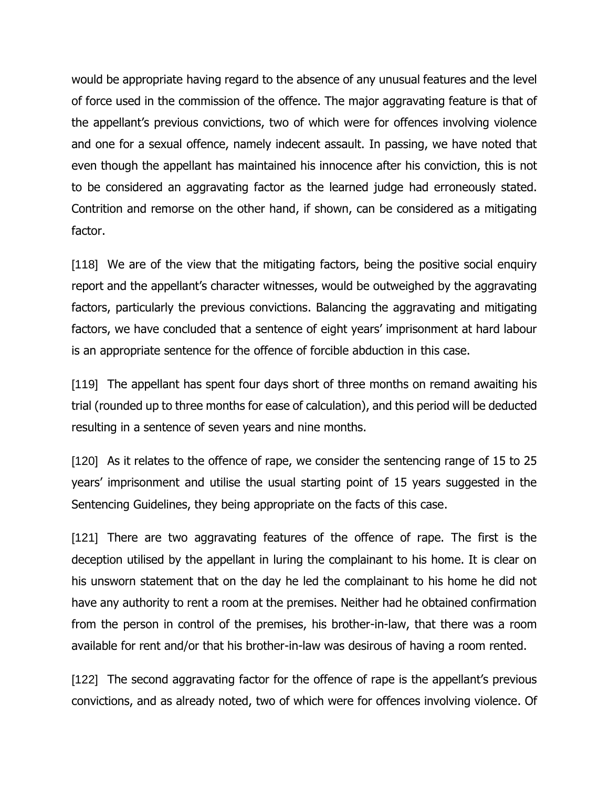would be appropriate having regard to the absence of any unusual features and the level of force used in the commission of the offence. The major aggravating feature is that of the appellant's previous convictions, two of which were for offences involving violence and one for a sexual offence, namely indecent assault. In passing, we have noted that even though the appellant has maintained his innocence after his conviction, this is not to be considered an aggravating factor as the learned judge had erroneously stated. Contrition and remorse on the other hand, if shown, can be considered as a mitigating factor.

[118] We are of the view that the mitigating factors, being the positive social enquiry report and the appellant's character witnesses, would be outweighed by the aggravating factors, particularly the previous convictions. Balancing the aggravating and mitigating factors, we have concluded that a sentence of eight years' imprisonment at hard labour is an appropriate sentence for the offence of forcible abduction in this case.

[119] The appellant has spent four days short of three months on remand awaiting his trial (rounded up to three months for ease of calculation), and this period will be deducted resulting in a sentence of seven years and nine months.

[120] As it relates to the offence of rape, we consider the sentencing range of 15 to 25 years' imprisonment and utilise the usual starting point of 15 years suggested in the Sentencing Guidelines, they being appropriate on the facts of this case.

[121] There are two aggravating features of the offence of rape. The first is the deception utilised by the appellant in luring the complainant to his home. It is clear on his unsworn statement that on the day he led the complainant to his home he did not have any authority to rent a room at the premises. Neither had he obtained confirmation from the person in control of the premises, his brother-in-law, that there was a room available for rent and/or that his brother-in-law was desirous of having a room rented.

[122] The second aggravating factor for the offence of rape is the appellant's previous convictions, and as already noted, two of which were for offences involving violence. Of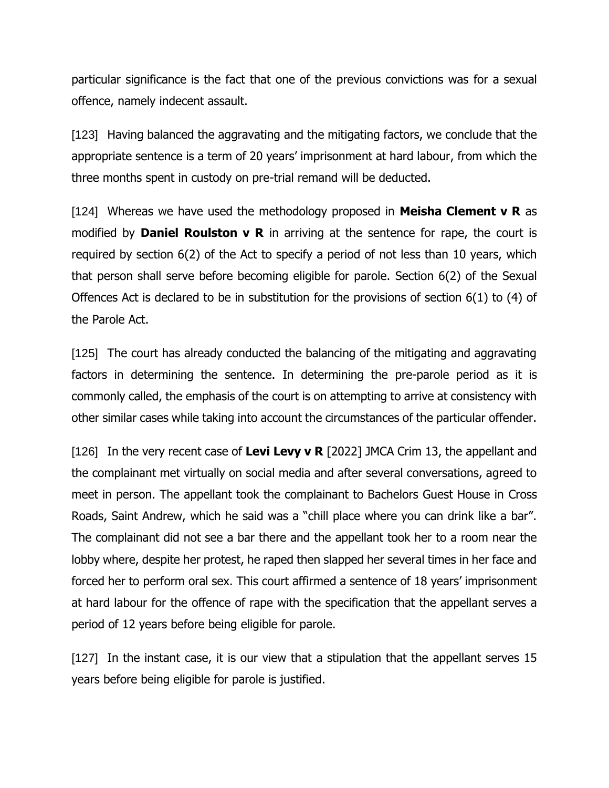particular significance is the fact that one of the previous convictions was for a sexual offence, namely indecent assault.

[123] Having balanced the aggravating and the mitigating factors, we conclude that the appropriate sentence is a term of 20 years' imprisonment at hard labour, from which the three months spent in custody on pre-trial remand will be deducted.

[124] Whereas we have used the methodology proposed in **Meisha Clement v R** as modified by **Daniel Roulston v R** in arriving at the sentence for rape, the court is required by section 6(2) of the Act to specify a period of not less than 10 years, which that person shall serve before becoming eligible for parole. Section 6(2) of the Sexual Offences Act is declared to be in substitution for the provisions of section 6(1) to (4) of the Parole Act.

[125] The court has already conducted the balancing of the mitigating and aggravating factors in determining the sentence. In determining the pre-parole period as it is commonly called, the emphasis of the court is on attempting to arrive at consistency with other similar cases while taking into account the circumstances of the particular offender.

[126] In the very recent case of **Levi Levy v R** [2022] JMCA Crim 13, the appellant and the complainant met virtually on social media and after several conversations, agreed to meet in person. The appellant took the complainant to Bachelors Guest House in Cross Roads, Saint Andrew, which he said was a "chill place where you can drink like a bar". The complainant did not see a bar there and the appellant took her to a room near the lobby where, despite her protest, he raped then slapped her several times in her face and forced her to perform oral sex. This court affirmed a sentence of 18 years' imprisonment at hard labour for the offence of rape with the specification that the appellant serves a period of 12 years before being eligible for parole.

[127] In the instant case, it is our view that a stipulation that the appellant serves 15 years before being eligible for parole is justified.